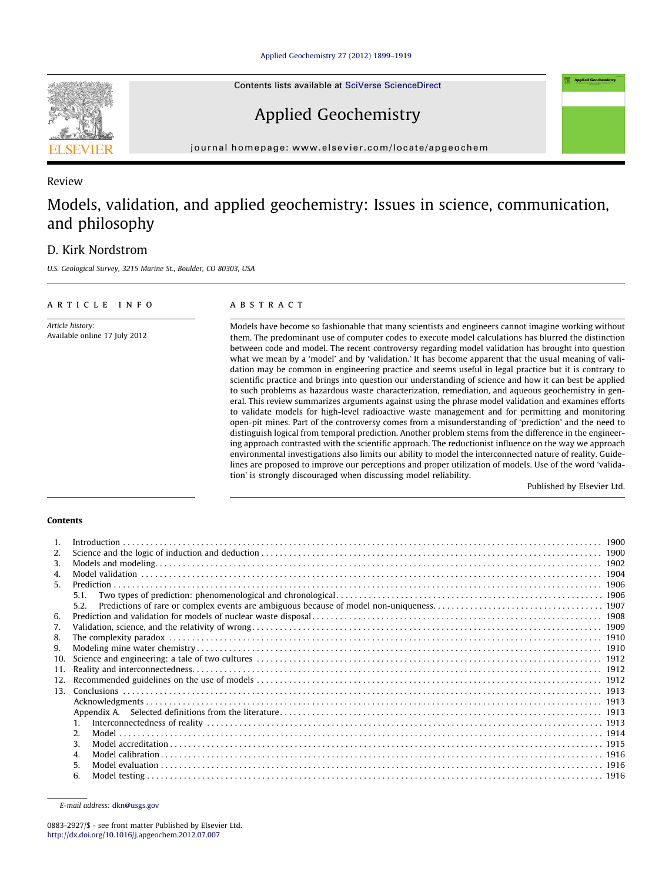Contents lists available at [SciVerse ScienceDirect](http://www.sciencedirect.com/science/journal/08832927)

# Applied Geochemistry

journal homepage: [www.elsevier.com/locate/apgeochem](http://www.elsevier.com/locate/apgeochem)

# Review

# Models, validation, and applied geochemistry: Issues in science, communication, and philosophy

# D. Kirk Nordstrom

U.S. Geological Survey, 3215 Marine St., Boulder, CO 80303, USA

# article info

Article history: Available online 17 July 2012

# ABSTRACT

Models have become so fashionable that many scientists and engineers cannot imagine working without them. The predominant use of computer codes to execute model calculations has blurred the distinction between code and model. The recent controversy regarding model validation has brought into question what we mean by a 'model' and by 'validation.' It has become apparent that the usual meaning of validation may be common in engineering practice and seems useful in legal practice but it is contrary to scientific practice and brings into question our understanding of science and how it can best be applied to such problems as hazardous waste characterization, remediation, and aqueous geochemistry in general. This review summarizes arguments against using the phrase model validation and examines efforts to validate models for high-level radioactive waste management and for permitting and monitoring open-pit mines. Part of the controversy comes from a misunderstanding of 'prediction' and the need to distinguish logical from temporal prediction. Another problem stems from the difference in the engineering approach contrasted with the scientific approach. The reductionist influence on the way we approach environmental investigations also limits our ability to model the interconnected nature of reality. Guidelines are proposed to improve our perceptions and proper utilization of models. Use of the word 'validation' is strongly discouraged when discussing model reliability.

Published by Elsevier Ltd.

#### **Contents**

| 1.              | Introduction   | 1900 |
|-----------------|----------------|------|
| 2.              |                |      |
| 3.              |                |      |
| 4.              |                |      |
| 5.              |                |      |
|                 |                |      |
|                 | 5.1.           |      |
|                 | 5.2.           |      |
| 6.              |                |      |
| 7.              |                |      |
| 8.              |                |      |
| 9.              |                |      |
| 10.             |                |      |
| 11.             |                |      |
|                 |                |      |
| 12.             |                |      |
| 13 <sup>7</sup> |                |      |
|                 |                |      |
|                 |                |      |
|                 |                |      |
|                 | 2 <sub>1</sub> |      |
|                 | 3.             |      |
|                 |                |      |
|                 | $\mathbf{4}$   |      |
|                 | 5.             |      |
|                 | 6.             |      |



E-mail address: [dkn@usgs.gov](mailto:dkn@usgs.gov)

<sup>0883-2927/\$ -</sup> see front matter Published by Elsevier Ltd. <http://dx.doi.org/10.1016/j.apgeochem.2012.07.007>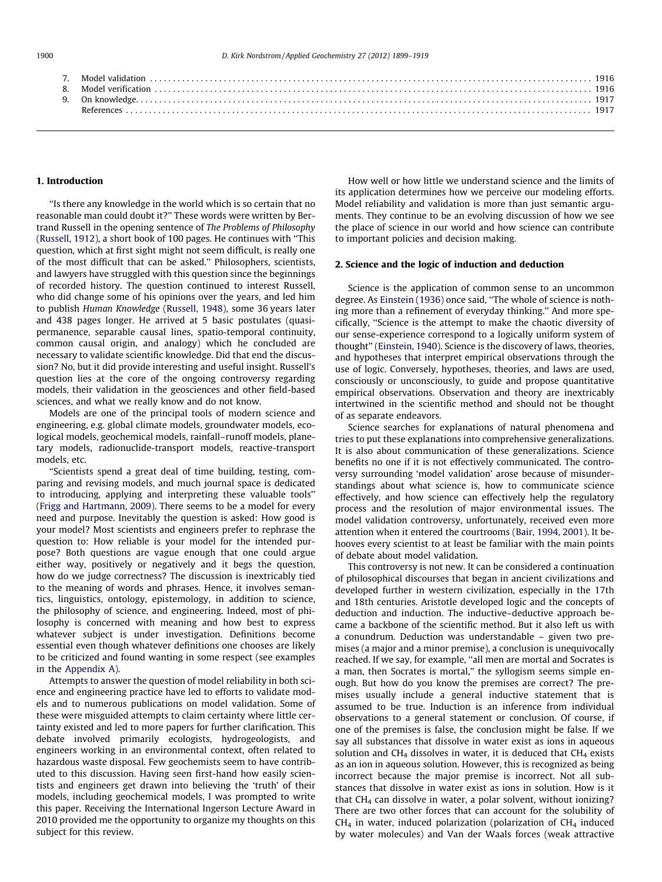#### 1. Introduction

''Is there any knowledge in the world which is so certain that no reasonable man could doubt it?'' These words were written by Bertrand Russell in the opening sentence of The Problems of Philosophy ([Russell, 1912](#page-20-0)), a short book of 100 pages. He continues with ''This question, which at first sight might not seem difficult, is really one of the most difficult that can be asked.'' Philosophers, scientists, and lawyers have struggled with this question since the beginnings of recorded history. The question continued to interest Russell, who did change some of his opinions over the years, and led him to publish Human Knowledge [\(Russell, 1948\)](#page-20-0), some 36 years later and 438 pages longer. He arrived at 5 basic postulates (quasipermanence, separable causal lines, spatio-temporal continuity, common causal origin, and analogy) which he concluded are necessary to validate scientific knowledge. Did that end the discussion? No, but it did provide interesting and useful insight. Russell's question lies at the core of the ongoing controversy regarding models, their validation in the geosciences and other field-based sciences, and what we really know and do not know.

Models are one of the principal tools of modern science and engineering, e.g. global climate models, groundwater models, ecological models, geochemical models, rainfall–runoff models, planetary models, radionuclide-transport models, reactive-transport models, etc.

''Scientists spend a great deal of time building, testing, comparing and revising models, and much journal space is dedicated to introducing, applying and interpreting these valuable tools'' ([Frigg and Hartmann, 2009](#page-19-0)). There seems to be a model for every need and purpose. Inevitably the question is asked: How good is your model? Most scientists and engineers prefer to rephrase the question to: How reliable is your model for the intended purpose? Both questions are vague enough that one could argue either way, positively or negatively and it begs the question, how do we judge correctness? The discussion is inextricably tied to the meaning of words and phrases. Hence, it involves semantics, linguistics, ontology, epistemology, in addition to science, the philosophy of science, and engineering. Indeed, most of philosophy is concerned with meaning and how best to express whatever subject is under investigation. Definitions become essential even though whatever definitions one chooses are likely to be criticized and found wanting in some respect (see examples in the [Appendix A](#page-14-0)).

Attempts to answer the question of model reliability in both science and engineering practice have led to efforts to validate models and to numerous publications on model validation. Some of these were misguided attempts to claim certainty where little certainty existed and led to more papers for further clarification. This debate involved primarily ecologists, hydrogeologists, and engineers working in an environmental context, often related to hazardous waste disposal. Few geochemists seem to have contributed to this discussion. Having seen first-hand how easily scientists and engineers get drawn into believing the 'truth' of their models, including geochemical models, I was prompted to write this paper. Receiving the International Ingerson Lecture Award in 2010 provided me the opportunity to organize my thoughts on this subject for this review.

How well or how little we understand science and the limits of its application determines how we perceive our modeling efforts. Model reliability and validation is more than just semantic arguments. They continue to be an evolving discussion of how we see the place of science in our world and how science can contribute to important policies and decision making.

#### 2. Science and the logic of induction and deduction

Science is the application of common sense to an uncommon degree. As [Einstein \(1936\)](#page-19-0) once said, ''The whole of science is nothing more than a refinement of everyday thinking.'' And more specifically, ''Science is the attempt to make the chaotic diversity of our sense-experience correspond to a logically uniform system of thought'' [\(Einstein, 1940](#page-19-0)). Science is the discovery of laws, theories, and hypotheses that interpret empirical observations through the use of logic. Conversely, hypotheses, theories, and laws are used, consciously or unconsciously, to guide and propose quantitative empirical observations. Observation and theory are inextricably intertwined in the scientific method and should not be thought of as separate endeavors.

Science searches for explanations of natural phenomena and tries to put these explanations into comprehensive generalizations. It is also about communication of these generalizations. Science benefits no one if it is not effectively communicated. The controversy surrounding 'model validation' arose because of misunderstandings about what science is, how to communicate science effectively, and how science can effectively help the regulatory process and the resolution of major environmental issues. The model validation controversy, unfortunately, received even more attention when it entered the courtrooms [\(Bair, 1994, 2001](#page-19-0)). It behooves every scientist to at least be familiar with the main points of debate about model validation.

This controversy is not new. It can be considered a continuation of philosophical discourses that began in ancient civilizations and developed further in western civilization, especially in the 17th and 18th centuries. Aristotle developed logic and the concepts of deduction and induction. The inductive–deductive approach became a backbone of the scientific method. But it also left us with a conundrum. Deduction was understandable – given two premises (a major and a minor premise), a conclusion is unequivocally reached. If we say, for example, ''all men are mortal and Socrates is a man, then Socrates is mortal,'' the syllogism seems simple enough. But how do you know the premises are correct? The premises usually include a general inductive statement that is assumed to be true. Induction is an inference from individual observations to a general statement or conclusion. Of course, if one of the premises is false, the conclusion might be false. If we say all substances that dissolve in water exist as ions in aqueous solution and  $CH<sub>4</sub>$  dissolves in water, it is deduced that  $CH<sub>4</sub>$  exists as an ion in aqueous solution. However, this is recognized as being incorrect because the major premise is incorrect. Not all substances that dissolve in water exist as ions in solution. How is it that  $CH<sub>4</sub>$  can dissolve in water, a polar solvent, without ionizing? There are two other forces that can account for the solubility of  $CH<sub>4</sub>$  in water, induced polarization (polarization of  $CH<sub>4</sub>$  induced by water molecules) and Van der Waals forces (weak attractive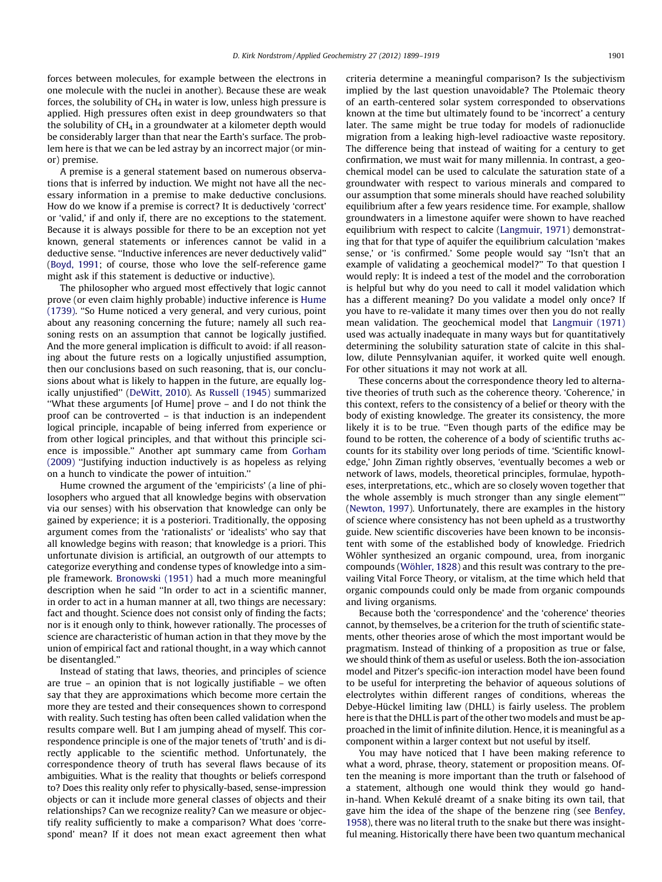forces between molecules, for example between the electrons in one molecule with the nuclei in another). Because these are weak forces, the solubility of  $CH<sub>4</sub>$  in water is low, unless high pressure is applied. High pressures often exist in deep groundwaters so that the solubility of  $CH<sub>4</sub>$  in a groundwater at a kilometer depth would be considerably larger than that near the Earth's surface. The problem here is that we can be led astray by an incorrect major (or minor) premise.

A premise is a general statement based on numerous observations that is inferred by induction. We might not have all the necessary information in a premise to make deductive conclusions. How do we know if a premise is correct? It is deductively 'correct' or 'valid,' if and only if, there are no exceptions to the statement. Because it is always possible for there to be an exception not yet known, general statements or inferences cannot be valid in a deductive sense. ''Inductive inferences are never deductively valid'' ([Boyd, 1991](#page-19-0); of course, those who love the self-reference game might ask if this statement is deductive or inductive).

The philosopher who argued most effectively that logic cannot prove (or even claim highly probable) inductive inference is [Hume](#page-19-0) [\(1739\).](#page-19-0) ''So Hume noticed a very general, and very curious, point about any reasoning concerning the future; namely all such reasoning rests on an assumption that cannot be logically justified. And the more general implication is difficult to avoid: if all reasoning about the future rests on a logically unjustified assumption, then our conclusions based on such reasoning, that is, our conclusions about what is likely to happen in the future, are equally logically unjustified'' ([DeWitt, 2010\)](#page-19-0). As [Russell \(1945\)](#page-20-0) summarized ''What these arguments [of Hume] prove – and I do not think the proof can be controverted – is that induction is an independent logical principle, incapable of being inferred from experience or from other logical principles, and that without this principle science is impossible.'' Another apt summary came from [Gorham](#page-19-0) [\(2009\)](#page-19-0) ''Justifying induction inductively is as hopeless as relying on a hunch to vindicate the power of intuition.''

Hume crowned the argument of the 'empiricists' (a line of philosophers who argued that all knowledge begins with observation via our senses) with his observation that knowledge can only be gained by experience; it is a posteriori. Traditionally, the opposing argument comes from the 'rationalists' or 'idealists' who say that all knowledge begins with reason; that knowledge is a priori. This unfortunate division is artificial, an outgrowth of our attempts to categorize everything and condense types of knowledge into a simple framework. [Bronowski \(1951\)](#page-19-0) had a much more meaningful description when he said ''In order to act in a scientific manner, in order to act in a human manner at all, two things are necessary: fact and thought. Science does not consist only of finding the facts; nor is it enough only to think, however rationally. The processes of science are characteristic of human action in that they move by the union of empirical fact and rational thought, in a way which cannot be disentangled.''

Instead of stating that laws, theories, and principles of science are true – an opinion that is not logically justifiable – we often say that they are approximations which become more certain the more they are tested and their consequences shown to correspond with reality. Such testing has often been called validation when the results compare well. But I am jumping ahead of myself. This correspondence principle is one of the major tenets of 'truth' and is directly applicable to the scientific method. Unfortunately, the correspondence theory of truth has several flaws because of its ambiguities. What is the reality that thoughts or beliefs correspond to? Does this reality only refer to physically-based, sense-impression objects or can it include more general classes of objects and their relationships? Can we recognize reality? Can we measure or objectify reality sufficiently to make a comparison? What does 'correspond' mean? If it does not mean exact agreement then what criteria determine a meaningful comparison? Is the subjectivism implied by the last question unavoidable? The Ptolemaic theory of an earth-centered solar system corresponded to observations known at the time but ultimately found to be 'incorrect' a century later. The same might be true today for models of radionuclide migration from a leaking high-level radioactive waste repository. The difference being that instead of waiting for a century to get confirmation, we must wait for many millennia. In contrast, a geochemical model can be used to calculate the saturation state of a groundwater with respect to various minerals and compared to our assumption that some minerals should have reached solubility equilibrium after a few years residence time. For example, shallow groundwaters in a limestone aquifer were shown to have reached equilibrium with respect to calcite [\(Langmuir, 1971\)](#page-19-0) demonstrating that for that type of aquifer the equilibrium calculation 'makes sense,' or 'is confirmed.' Some people would say ''Isn't that an example of validating a geochemical model?'' To that question I would reply: It is indeed a test of the model and the corroboration is helpful but why do you need to call it model validation which has a different meaning? Do you validate a model only once? If you have to re-validate it many times over then you do not really mean validation. The geochemical model that [Langmuir \(1971\)](#page-19-0) used was actually inadequate in many ways but for quantitatively determining the solubility saturation state of calcite in this shallow, dilute Pennsylvanian aquifer, it worked quite well enough. For other situations it may not work at all.

These concerns about the correspondence theory led to alternative theories of truth such as the coherence theory. 'Coherence,' in this context, refers to the consistency of a belief or theory with the body of existing knowledge. The greater its consistency, the more likely it is to be true. ''Even though parts of the edifice may be found to be rotten, the coherence of a body of scientific truths accounts for its stability over long periods of time. 'Scientific knowledge,' John Ziman rightly observes, 'eventually becomes a web or network of laws, models, theoretical principles, formulae, hypotheses, interpretations, etc., which are so closely woven together that the whole assembly is much stronger than any single element''' ([Newton, 1997](#page-20-0)). Unfortunately, there are examples in the history of science where consistency has not been upheld as a trustworthy guide. New scientific discoveries have been known to be inconsistent with some of the established body of knowledge. Friedrich Wöhler synthesized an organic compound, urea, from inorganic compounds [\(Wöhler, 1828](#page-20-0)) and this result was contrary to the prevailing Vital Force Theory, or vitalism, at the time which held that organic compounds could only be made from organic compounds and living organisms.

Because both the 'correspondence' and the 'coherence' theories cannot, by themselves, be a criterion for the truth of scientific statements, other theories arose of which the most important would be pragmatism. Instead of thinking of a proposition as true or false, we should think of them as useful or useless. Both the ion-association model and Pitzer's specific-ion interaction model have been found to be useful for interpreting the behavior of aqueous solutions of electrolytes within different ranges of conditions, whereas the Debye-Hückel limiting law (DHLL) is fairly useless. The problem here is that the DHLL is part of the other two models and must be approached in the limit of infinite dilution. Hence, it is meaningful as a component within a larger context but not useful by itself.

You may have noticed that I have been making reference to what a word, phrase, theory, statement or proposition means. Often the meaning is more important than the truth or falsehood of a statement, although one would think they would go handin-hand. When Kekulé dreamt of a snake biting its own tail, that gave him the idea of the shape of the benzene ring (see [Benfey,](#page-19-0) [1958\)](#page-19-0), there was no literal truth to the snake but there was insightful meaning. Historically there have been two quantum mechanical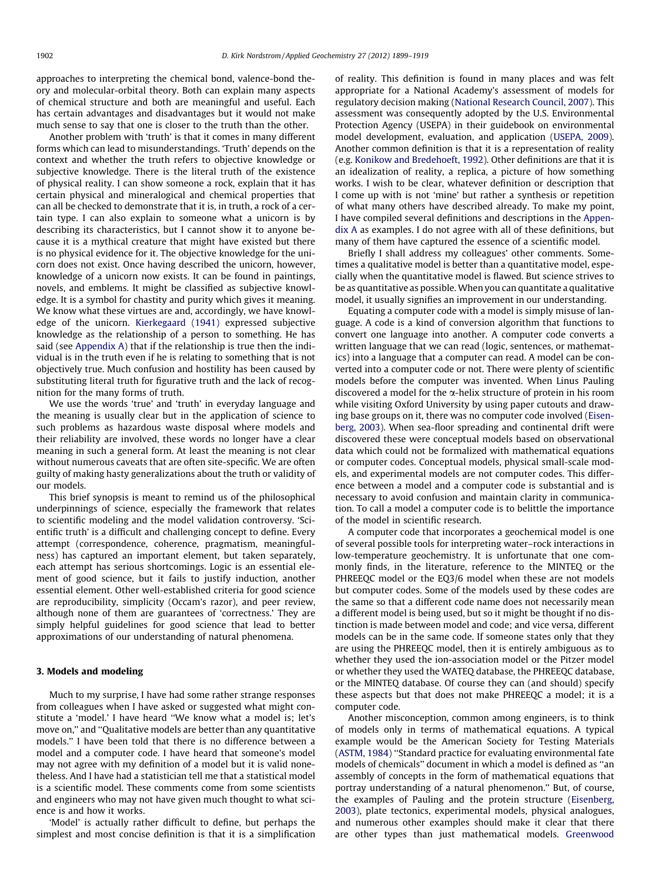approaches to interpreting the chemical bond, valence-bond theory and molecular-orbital theory. Both can explain many aspects of chemical structure and both are meaningful and useful. Each has certain advantages and disadvantages but it would not make much sense to say that one is closer to the truth than the other.

Another problem with 'truth' is that it comes in many different forms which can lead to misunderstandings. 'Truth' depends on the context and whether the truth refers to objective knowledge or subjective knowledge. There is the literal truth of the existence of physical reality. I can show someone a rock, explain that it has certain physical and mineralogical and chemical properties that can all be checked to demonstrate that it is, in truth, a rock of a certain type. I can also explain to someone what a unicorn is by describing its characteristics, but I cannot show it to anyone because it is a mythical creature that might have existed but there is no physical evidence for it. The objective knowledge for the unicorn does not exist. Once having described the unicorn, however, knowledge of a unicorn now exists. It can be found in paintings, novels, and emblems. It might be classified as subjective knowledge. It is a symbol for chastity and purity which gives it meaning. We know what these virtues are and, accordingly, we have knowledge of the unicorn. [Kierkegaard \(1941\)](#page-19-0) expressed subjective knowledge as the relationship of a person to something. He has said (see [Appendix A\)](#page-14-0) that if the relationship is true then the individual is in the truth even if he is relating to something that is not objectively true. Much confusion and hostility has been caused by substituting literal truth for figurative truth and the lack of recognition for the many forms of truth.

We use the words 'true' and 'truth' in everyday language and the meaning is usually clear but in the application of science to such problems as hazardous waste disposal where models and their reliability are involved, these words no longer have a clear meaning in such a general form. At least the meaning is not clear without numerous caveats that are often site-specific. We are often guilty of making hasty generalizations about the truth or validity of our models.

This brief synopsis is meant to remind us of the philosophical underpinnings of science, especially the framework that relates to scientific modeling and the model validation controversy. 'Scientific truth' is a difficult and challenging concept to define. Every attempt (correspondence, coherence, pragmatism, meaningfulness) has captured an important element, but taken separately, each attempt has serious shortcomings. Logic is an essential element of good science, but it fails to justify induction, another essential element. Other well-established criteria for good science are reproducibility, simplicity (Occam's razor), and peer review, although none of them are guarantees of 'correctness.' They are simply helpful guidelines for good science that lead to better approximations of our understanding of natural phenomena.

#### 3. Models and modeling

Much to my surprise, I have had some rather strange responses from colleagues when I have asked or suggested what might constitute a 'model.' I have heard ''We know what a model is; let's move on,'' and ''Qualitative models are better than any quantitative models.'' I have been told that there is no difference between a model and a computer code. I have heard that someone's model may not agree with my definition of a model but it is valid nonetheless. And I have had a statistician tell me that a statistical model is a scientific model. These comments come from some scientists and engineers who may not have given much thought to what science is and how it works.

'Model' is actually rather difficult to define, but perhaps the simplest and most concise definition is that it is a simplification

of reality. This definition is found in many places and was felt appropriate for a National Academy's assessment of models for regulatory decision making [\(National Research Council, 2007](#page-20-0)). This assessment was consequently adopted by the U.S. Environmental Protection Agency (USEPA) in their guidebook on environmental model development, evaluation, and application [\(USEPA, 2009\)](#page-20-0). Another common definition is that it is a representation of reality (e.g. [Konikow and Bredehoeft, 1992](#page-19-0)). Other definitions are that it is an idealization of reality, a replica, a picture of how something works. I wish to be clear, whatever definition or description that I come up with is not 'mine' but rather a synthesis or repetition of what many others have described already. To make my point, I have compiled several definitions and descriptions in the [Appen](#page-14-0)[dix A](#page-14-0) as examples. I do not agree with all of these definitions, but many of them have captured the essence of a scientific model.

Briefly I shall address my colleagues' other comments. Sometimes a qualitative model is better than a quantitative model, especially when the quantitative model is flawed. But science strives to be as quantitative as possible.When you can quantitate a qualitative model, it usually signifies an improvement in our understanding.

Equating a computer code with a model is simply misuse of language. A code is a kind of conversion algorithm that functions to convert one language into another. A computer code converts a written language that we can read (logic, sentences, or mathematics) into a language that a computer can read. A model can be converted into a computer code or not. There were plenty of scientific models before the computer was invented. When Linus Pauling discovered a model for the  $\alpha$ -helix structure of protein in his room while visiting Oxford University by using paper cutouts and drawing base groups on it, there was no computer code involved ([Eisen](#page-19-0)[berg, 2003](#page-19-0)). When sea-floor spreading and continental drift were discovered these were conceptual models based on observational data which could not be formalized with mathematical equations or computer codes. Conceptual models, physical small-scale models, and experimental models are not computer codes. This difference between a model and a computer code is substantial and is necessary to avoid confusion and maintain clarity in communication. To call a model a computer code is to belittle the importance of the model in scientific research.

A computer code that incorporates a geochemical model is one of several possible tools for interpreting water–rock interactions in low-temperature geochemistry. It is unfortunate that one commonly finds, in the literature, reference to the MINTEQ or the PHREEQC model or the EQ3/6 model when these are not models but computer codes. Some of the models used by these codes are the same so that a different code name does not necessarily mean a different model is being used, but so it might be thought if no distinction is made between model and code; and vice versa, different models can be in the same code. If someone states only that they are using the PHREEQC model, then it is entirely ambiguous as to whether they used the ion-association model or the Pitzer model or whether they used the WATEQ database, the PHREEQC database, or the MINTEQ database. Of course they can (and should) specify these aspects but that does not make PHREEQC a model; it is a computer code.

Another misconception, common among engineers, is to think of models only in terms of mathematical equations. A typical example would be the American Society for Testing Materials ([ASTM, 1984\)](#page-19-0) ''Standard practice for evaluating environmental fate models of chemicals'' document in which a model is defined as ''an assembly of concepts in the form of mathematical equations that portray understanding of a natural phenomenon.'' But, of course, the examples of Pauling and the protein structure [\(Eisenberg,](#page-19-0) [2003\)](#page-19-0), plate tectonics, experimental models, physical analogues, and numerous other examples should make it clear that there are other types than just mathematical models. [Greenwood](#page-19-0)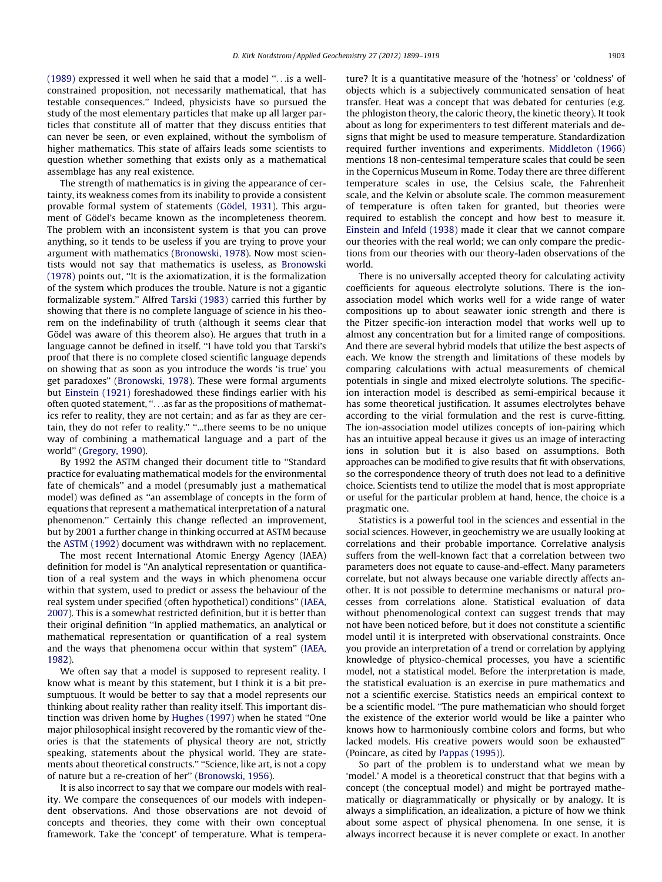[\(1989\)](#page-19-0) expressed it well when he said that a model ''...is a wellconstrained proposition, not necessarily mathematical, that has testable consequences.'' Indeed, physicists have so pursued the study of the most elementary particles that make up all larger particles that constitute all of matter that they discuss entities that can never be seen, or even explained, without the symbolism of higher mathematics. This state of affairs leads some scientists to question whether something that exists only as a mathematical assemblage has any real existence.

The strength of mathematics is in giving the appearance of certainty, its weakness comes from its inability to provide a consistent provable formal system of statements [\(Gödel, 1931](#page-19-0)). This argument of Gödel's became known as the incompleteness theorem. The problem with an inconsistent system is that you can prove anything, so it tends to be useless if you are trying to prove your argument with mathematics [\(Bronowski, 1978](#page-19-0)). Now most scientists would not say that mathematics is useless, as [Bronowski](#page-19-0) [\(1978\)](#page-19-0) points out, ''It is the axiomatization, it is the formalization of the system which produces the trouble. Nature is not a gigantic formalizable system.'' Alfred [Tarski \(1983\)](#page-20-0) carried this further by showing that there is no complete language of science in his theorem on the indefinability of truth (although it seems clear that Gödel was aware of this theorem also). He argues that truth in a language cannot be defined in itself. ''I have told you that Tarski's proof that there is no complete closed scientific language depends on showing that as soon as you introduce the words 'is true' you get paradoxes'' ([Bronowski, 1978](#page-19-0)). These were formal arguments but [Einstein \(1921\)](#page-19-0) foreshadowed these findings earlier with his often quoted statement, ''...as far as the propositions of mathematics refer to reality, they are not certain; and as far as they are certain, they do not refer to reality." "...there seems to be no unique way of combining a mathematical language and a part of the world'' [\(Gregory, 1990\)](#page-19-0).

By 1992 the ASTM changed their document title to ''Standard practice for evaluating mathematical models for the environmental fate of chemicals'' and a model (presumably just a mathematical model) was defined as ''an assemblage of concepts in the form of equations that represent a mathematical interpretation of a natural phenomenon.'' Certainly this change reflected an improvement, but by 2001 a further change in thinking occurred at ASTM because the [ASTM \(1992\)](#page-19-0) document was withdrawn with no replacement.

The most recent International Atomic Energy Agency (IAEA) definition for model is ''An analytical representation or quantification of a real system and the ways in which phenomena occur within that system, used to predict or assess the behaviour of the real system under specified (often hypothetical) conditions'' ([IAEA,](#page-19-0) [2007](#page-19-0)). This is a somewhat restricted definition, but it is better than their original definition ''In applied mathematics, an analytical or mathematical representation or quantification of a real system and the ways that phenomena occur within that system'' ([IAEA,](#page-19-0) [1982\)](#page-19-0).

We often say that a model is supposed to represent reality. I know what is meant by this statement, but I think it is a bit presumptuous. It would be better to say that a model represents our thinking about reality rather than reality itself. This important distinction was driven home by [Hughes \(1997\)](#page-19-0) when he stated ''One major philosophical insight recovered by the romantic view of theories is that the statements of physical theory are not, strictly speaking, statements about the physical world. They are statements about theoretical constructs." "Science, like art, is not a copy of nature but a re-creation of her'' ([Bronowski, 1956](#page-19-0)).

It is also incorrect to say that we compare our models with reality. We compare the consequences of our models with independent observations. And those observations are not devoid of concepts and theories, they come with their own conceptual framework. Take the 'concept' of temperature. What is temperature? It is a quantitative measure of the 'hotness' or 'coldness' of objects which is a subjectively communicated sensation of heat transfer. Heat was a concept that was debated for centuries (e.g. the phlogiston theory, the caloric theory, the kinetic theory). It took about as long for experimenters to test different materials and designs that might be used to measure temperature. Standardization required further inventions and experiments. [Middleton \(1966\)](#page-19-0) mentions 18 non-centesimal temperature scales that could be seen in the Copernicus Museum in Rome. Today there are three different temperature scales in use, the Celsius scale, the Fahrenheit scale, and the Kelvin or absolute scale. The common measurement of temperature is often taken for granted, but theories were required to establish the concept and how best to measure it. [Einstein and Infeld \(1938\)](#page-19-0) made it clear that we cannot compare our theories with the real world; we can only compare the predictions from our theories with our theory-laden observations of the world.

There is no universally accepted theory for calculating activity coefficients for aqueous electrolyte solutions. There is the ionassociation model which works well for a wide range of water compositions up to about seawater ionic strength and there is the Pitzer specific-ion interaction model that works well up to almost any concentration but for a limited range of compositions. And there are several hybrid models that utilize the best aspects of each. We know the strength and limitations of these models by comparing calculations with actual measurements of chemical potentials in single and mixed electrolyte solutions. The specificion interaction model is described as semi-empirical because it has some theoretical justification. It assumes electrolytes behave according to the virial formulation and the rest is curve-fitting. The ion-association model utilizes concepts of ion-pairing which has an intuitive appeal because it gives us an image of interacting ions in solution but it is also based on assumptions. Both approaches can be modified to give results that fit with observations, so the correspondence theory of truth does not lead to a definitive choice. Scientists tend to utilize the model that is most appropriate or useful for the particular problem at hand, hence, the choice is a pragmatic one.

Statistics is a powerful tool in the sciences and essential in the social sciences. However, in geochemistry we are usually looking at correlations and their probable importance. Correlative analysis suffers from the well-known fact that a correlation between two parameters does not equate to cause-and-effect. Many parameters correlate, but not always because one variable directly affects another. It is not possible to determine mechanisms or natural processes from correlations alone. Statistical evaluation of data without phenomenological context can suggest trends that may not have been noticed before, but it does not constitute a scientific model until it is interpreted with observational constraints. Once you provide an interpretation of a trend or correlation by applying knowledge of physico-chemical processes, you have a scientific model, not a statistical model. Before the interpretation is made, the statistical evaluation is an exercise in pure mathematics and not a scientific exercise. Statistics needs an empirical context to be a scientific model. ''The pure mathematician who should forget the existence of the exterior world would be like a painter who knows how to harmoniously combine colors and forms, but who lacked models. His creative powers would soon be exhausted'' (Poincare, as cited by [Pappas \(1995\)](#page-20-0)).

So part of the problem is to understand what we mean by 'model.' A model is a theoretical construct that that begins with a concept (the conceptual model) and might be portrayed mathematically or diagrammatically or physically or by analogy. It is always a simplification, an idealization, a picture of how we think about some aspect of physical phenomena. In one sense, it is always incorrect because it is never complete or exact. In another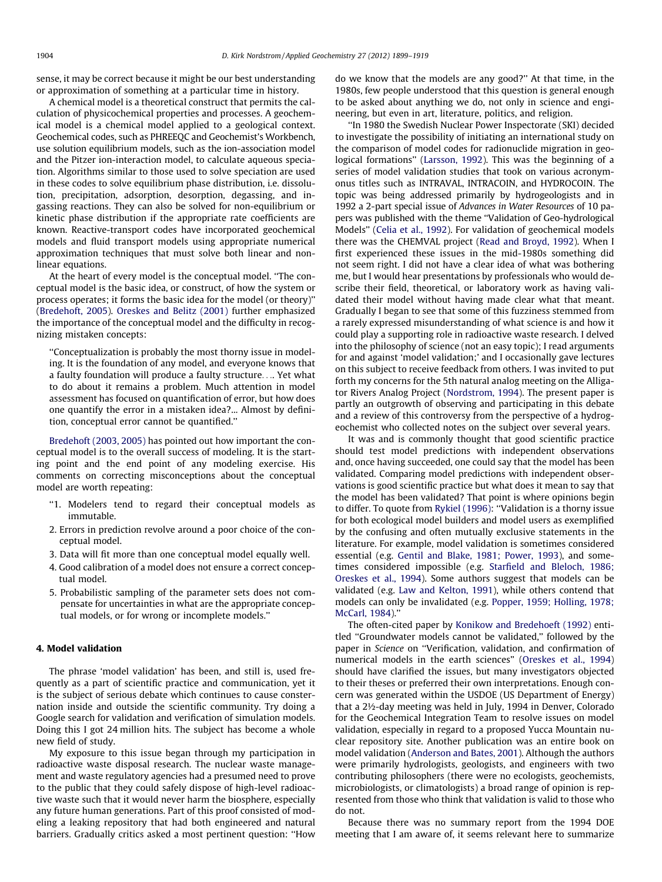sense, it may be correct because it might be our best understanding or approximation of something at a particular time in history.

A chemical model is a theoretical construct that permits the calculation of physicochemical properties and processes. A geochemical model is a chemical model applied to a geological context. Geochemical codes, such as PHREEQC and Geochemist's Workbench, use solution equilibrium models, such as the ion-association model and the Pitzer ion-interaction model, to calculate aqueous speciation. Algorithms similar to those used to solve speciation are used in these codes to solve equilibrium phase distribution, i.e. dissolution, precipitation, adsorption, desorption, degassing, and ingassing reactions. They can also be solved for non-equilibrium or kinetic phase distribution if the appropriate rate coefficients are known. Reactive-transport codes have incorporated geochemical models and fluid transport models using appropriate numerical approximation techniques that must solve both linear and nonlinear equations.

At the heart of every model is the conceptual model. ''The conceptual model is the basic idea, or construct, of how the system or process operates; it forms the basic idea for the model (or theory)'' ([Bredehoft, 2005\)](#page-19-0). [Oreskes and Belitz \(2001\)](#page-20-0) further emphasized the importance of the conceptual model and the difficulty in recognizing mistaken concepts:

''Conceptualization is probably the most thorny issue in modeling. It is the foundation of any model, and everyone knows that a faulty foundation will produce a faulty structure.... Yet what to do about it remains a problem. Much attention in model assessment has focused on quantification of error, but how does one quantify the error in a mistaken idea?... Almost by definition, conceptual error cannot be quantified.''

[Bredehoft \(2003, 2005\)](#page-19-0) has pointed out how important the conceptual model is to the overall success of modeling. It is the starting point and the end point of any modeling exercise. His comments on correcting misconceptions about the conceptual model are worth repeating:

- "1. Modelers tend to regard their conceptual models as immutable.
- 2. Errors in prediction revolve around a poor choice of the conceptual model.
- 3. Data will fit more than one conceptual model equally well.
- 4. Good calibration of a model does not ensure a correct conceptual model.
- 5. Probabilistic sampling of the parameter sets does not compensate for uncertainties in what are the appropriate conceptual models, or for wrong or incomplete models.''

#### 4. Model validation

The phrase 'model validation' has been, and still is, used frequently as a part of scientific practice and communication, yet it is the subject of serious debate which continues to cause consternation inside and outside the scientific community. Try doing a Google search for validation and verification of simulation models. Doing this I got 24 million hits. The subject has become a whole new field of study.

My exposure to this issue began through my participation in radioactive waste disposal research. The nuclear waste management and waste regulatory agencies had a presumed need to prove to the public that they could safely dispose of high-level radioactive waste such that it would never harm the biosphere, especially any future human generations. Part of this proof consisted of modeling a leaking repository that had both engineered and natural barriers. Gradually critics asked a most pertinent question: ''How do we know that the models are any good?'' At that time, in the 1980s, few people understood that this question is general enough to be asked about anything we do, not only in science and engineering, but even in art, literature, politics, and religion.

''In 1980 the Swedish Nuclear Power Inspectorate (SKI) decided to investigate the possibility of initiating an international study on the comparison of model codes for radionuclide migration in geological formations'' [\(Larsson, 1992](#page-19-0)). This was the beginning of a series of model validation studies that took on various acronymonus titles such as INTRAVAL, INTRACOIN, and HYDROCOIN. The topic was being addressed primarily by hydrogeologists and in 1992 a 2-part special issue of Advances in Water Resources of 10 papers was published with the theme ''Validation of Geo-hydrological Models'' ([Celia et al., 1992](#page-19-0)). For validation of geochemical models there was the CHEMVAL project ([Read and Broyd, 1992](#page-20-0)). When I first experienced these issues in the mid-1980s something did not seem right. I did not have a clear idea of what was bothering me, but I would hear presentations by professionals who would describe their field, theoretical, or laboratory work as having validated their model without having made clear what that meant. Gradually I began to see that some of this fuzziness stemmed from a rarely expressed misunderstanding of what science is and how it could play a supporting role in radioactive waste research. I delved into the philosophy of science (not an easy topic); I read arguments for and against 'model validation;' and I occasionally gave lectures on this subject to receive feedback from others. I was invited to put forth my concerns for the 5th natural analog meeting on the Alligator Rivers Analog Project [\(Nordstrom, 1994\)](#page-20-0). The present paper is partly an outgrowth of observing and participating in this debate and a review of this controversy from the perspective of a hydrogeochemist who collected notes on the subject over several years.

It was and is commonly thought that good scientific practice should test model predictions with independent observations and, once having succeeded, one could say that the model has been validated. Comparing model predictions with independent observations is good scientific practice but what does it mean to say that the model has been validated? That point is where opinions begin to differ. To quote from [Rykiel \(1996\):](#page-20-0) ''Validation is a thorny issue for both ecological model builders and model users as exemplified by the confusing and often mutually exclusive statements in the literature. For example, model validation is sometimes considered essential (e.g. [Gentil and Blake, 1981; Power, 1993\)](#page-19-0), and sometimes considered impossible (e.g. [Starfield and Bleloch, 1986;](#page-20-0) [Oreskes et al., 1994](#page-20-0)). Some authors suggest that models can be validated (e.g. [Law and Kelton, 1991\)](#page-19-0), while others contend that models can only be invalidated (e.g. [Popper, 1959; Holling, 1978;](#page-20-0) [McCarl, 1984\)](#page-20-0).''

The often-cited paper by [Konikow and Bredehoeft \(1992\)](#page-19-0) entitled ''Groundwater models cannot be validated,'' followed by the paper in Science on ''Verification, validation, and confirmation of numerical models in the earth sciences'' [\(Oreskes et al., 1994\)](#page-20-0) should have clarified the issues, but many investigators objected to their theses or preferred their own interpretations. Enough concern was generated within the USDOE (US Department of Energy) that a 2½-day meeting was held in July, 1994 in Denver, Colorado for the Geochemical Integration Team to resolve issues on model validation, especially in regard to a proposed Yucca Mountain nuclear repository site. Another publication was an entire book on model validation [\(Anderson and Bates, 2001](#page-18-0)). Although the authors were primarily hydrologists, geologists, and engineers with two contributing philosophers (there were no ecologists, geochemists, microbiologists, or climatologists) a broad range of opinion is represented from those who think that validation is valid to those who do not.

Because there was no summary report from the 1994 DOE meeting that I am aware of, it seems relevant here to summarize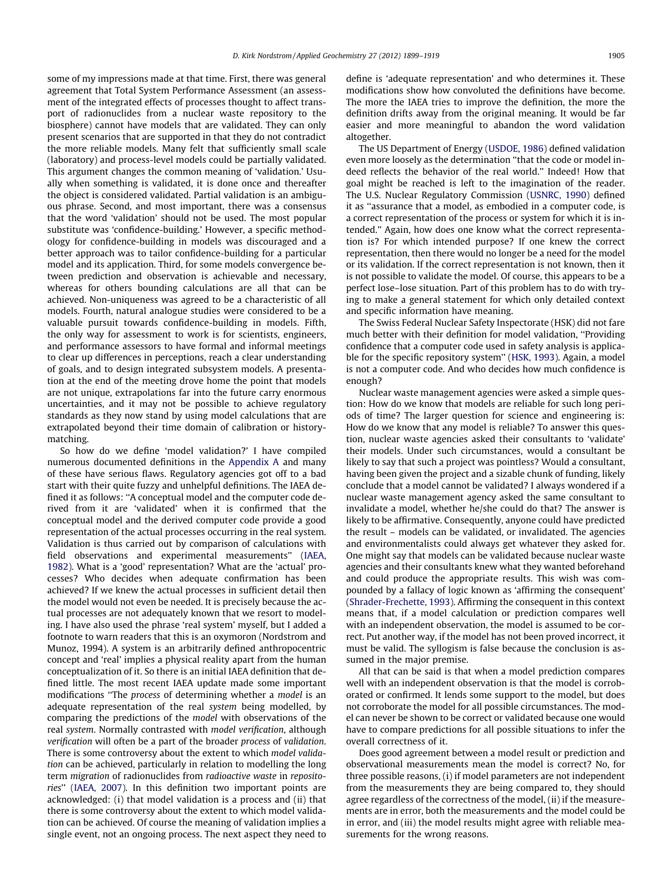some of my impressions made at that time. First, there was general agreement that Total System Performance Assessment (an assessment of the integrated effects of processes thought to affect transport of radionuclides from a nuclear waste repository to the biosphere) cannot have models that are validated. They can only present scenarios that are supported in that they do not contradict the more reliable models. Many felt that sufficiently small scale (laboratory) and process-level models could be partially validated. This argument changes the common meaning of 'validation.' Usually when something is validated, it is done once and thereafter the object is considered validated. Partial validation is an ambiguous phrase. Second, and most important, there was a consensus that the word 'validation' should not be used. The most popular substitute was 'confidence-building.' However, a specific methodology for confidence-building in models was discouraged and a better approach was to tailor confidence-building for a particular model and its application. Third, for some models convergence between prediction and observation is achievable and necessary, whereas for others bounding calculations are all that can be achieved. Non-uniqueness was agreed to be a characteristic of all models. Fourth, natural analogue studies were considered to be a valuable pursuit towards confidence-building in models. Fifth, the only way for assessment to work is for scientists, engineers, and performance assessors to have formal and informal meetings to clear up differences in perceptions, reach a clear understanding of goals, and to design integrated subsystem models. A presentation at the end of the meeting drove home the point that models are not unique, extrapolations far into the future carry enormous uncertainties, and it may not be possible to achieve regulatory standards as they now stand by using model calculations that are extrapolated beyond their time domain of calibration or historymatching.

So how do we define 'model validation?' I have compiled numerous documented definitions in the [Appendix A](#page-14-0) and many of these have serious flaws. Regulatory agencies got off to a bad start with their quite fuzzy and unhelpful definitions. The IAEA defined it as follows: ''A conceptual model and the computer code derived from it are 'validated' when it is confirmed that the conceptual model and the derived computer code provide a good representation of the actual processes occurring in the real system. Validation is thus carried out by comparison of calculations with field observations and experimental measurements'' ([IAEA,](#page-19-0) [1982\)](#page-19-0). What is a 'good' representation? What are the 'actual' processes? Who decides when adequate confirmation has been achieved? If we knew the actual processes in sufficient detail then the model would not even be needed. It is precisely because the actual processes are not adequately known that we resort to modeling. I have also used the phrase 'real system' myself, but I added a footnote to warn readers that this is an oxymoron (Nordstrom and Munoz, 1994). A system is an arbitrarily defined anthropocentric concept and 'real' implies a physical reality apart from the human conceptualization of it. So there is an initial IAEA definition that defined little. The most recent IAEA update made some important modifications ''The process of determining whether a model is an adequate representation of the real system being modelled, by comparing the predictions of the model with observations of the real system. Normally contrasted with model verification, although verification will often be a part of the broader process of validation. There is some controversy about the extent to which model validation can be achieved, particularly in relation to modelling the long term migration of radionuclides from radioactive waste in repositories'' ([IAEA, 2007\)](#page-19-0). In this definition two important points are acknowledged: (i) that model validation is a process and (ii) that there is some controversy about the extent to which model validation can be achieved. Of course the meaning of validation implies a single event, not an ongoing process. The next aspect they need to define is 'adequate representation' and who determines it. These modifications show how convoluted the definitions have become. The more the IAEA tries to improve the definition, the more the definition drifts away from the original meaning. It would be far easier and more meaningful to abandon the word validation altogether.

The US Department of Energy ([USDOE, 1986](#page-20-0)) defined validation even more loosely as the determination ''that the code or model indeed reflects the behavior of the real world.'' Indeed! How that goal might be reached is left to the imagination of the reader. The U.S. Nuclear Regulatory Commission [\(USNRC, 1990\)](#page-20-0) defined it as ''assurance that a model, as embodied in a computer code, is a correct representation of the process or system for which it is intended.'' Again, how does one know what the correct representation is? For which intended purpose? If one knew the correct representation, then there would no longer be a need for the model or its validation. If the correct representation is not known, then it is not possible to validate the model. Of course, this appears to be a perfect lose–lose situation. Part of this problem has to do with trying to make a general statement for which only detailed context and specific information have meaning.

The Swiss Federal Nuclear Safety Inspectorate (HSK) did not fare much better with their definition for model validation, ''Providing confidence that a computer code used in safety analysis is applicable for the specific repository system'' [\(HSK, 1993](#page-19-0)). Again, a model is not a computer code. And who decides how much confidence is enough?

Nuclear waste management agencies were asked a simple question: How do we know that models are reliable for such long periods of time? The larger question for science and engineering is: How do we know that any model is reliable? To answer this question, nuclear waste agencies asked their consultants to 'validate' their models. Under such circumstances, would a consultant be likely to say that such a project was pointless? Would a consultant, having been given the project and a sizable chunk of funding, likely conclude that a model cannot be validated? I always wondered if a nuclear waste management agency asked the same consultant to invalidate a model, whether he/she could do that? The answer is likely to be affirmative. Consequently, anyone could have predicted the result – models can be validated, or invalidated. The agencies and environmentalists could always get whatever they asked for. One might say that models can be validated because nuclear waste agencies and their consultants knew what they wanted beforehand and could produce the appropriate results. This wish was compounded by a fallacy of logic known as 'affirming the consequent' ([Shrader-Frechette, 1993](#page-20-0)). Affirming the consequent in this context means that, if a model calculation or prediction compares well with an independent observation, the model is assumed to be correct. Put another way, if the model has not been proved incorrect, it must be valid. The syllogism is false because the conclusion is assumed in the major premise.

All that can be said is that when a model prediction compares well with an independent observation is that the model is corroborated or confirmed. It lends some support to the model, but does not corroborate the model for all possible circumstances. The model can never be shown to be correct or validated because one would have to compare predictions for all possible situations to infer the overall correctness of it.

Does good agreement between a model result or prediction and observational measurements mean the model is correct? No, for three possible reasons, (i) if model parameters are not independent from the measurements they are being compared to, they should agree regardless of the correctness of the model, (ii) if the measurements are in error, both the measurements and the model could be in error, and (iii) the model results might agree with reliable measurements for the wrong reasons.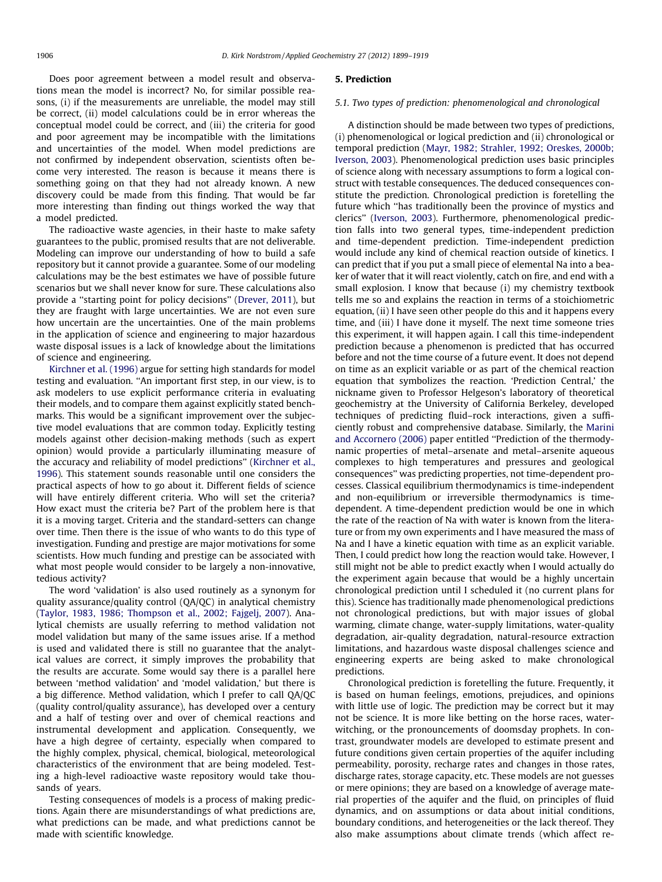Does poor agreement between a model result and observations mean the model is incorrect? No, for similar possible reasons, (i) if the measurements are unreliable, the model may still be correct, (ii) model calculations could be in error whereas the conceptual model could be correct, and (iii) the criteria for good and poor agreement may be incompatible with the limitations and uncertainties of the model. When model predictions are not confirmed by independent observation, scientists often become very interested. The reason is because it means there is something going on that they had not already known. A new discovery could be made from this finding. That would be far more interesting than finding out things worked the way that a model predicted.

The radioactive waste agencies, in their haste to make safety guarantees to the public, promised results that are not deliverable. Modeling can improve our understanding of how to build a safe repository but it cannot provide a guarantee. Some of our modeling calculations may be the best estimates we have of possible future scenarios but we shall never know for sure. These calculations also provide a ''starting point for policy decisions'' [\(Drever, 2011](#page-19-0)), but they are fraught with large uncertainties. We are not even sure how uncertain are the uncertainties. One of the main problems in the application of science and engineering to major hazardous waste disposal issues is a lack of knowledge about the limitations of science and engineering.

[Kirchner et al. \(1996\)](#page-19-0) argue for setting high standards for model testing and evaluation. ''An important first step, in our view, is to ask modelers to use explicit performance criteria in evaluating their models, and to compare them against explicitly stated benchmarks. This would be a significant improvement over the subjective model evaluations that are common today. Explicitly testing models against other decision-making methods (such as expert opinion) would provide a particularly illuminating measure of the accuracy and reliability of model predictions'' ([Kirchner et al.,](#page-19-0) [1996\)](#page-19-0). This statement sounds reasonable until one considers the practical aspects of how to go about it. Different fields of science will have entirely different criteria. Who will set the criteria? How exact must the criteria be? Part of the problem here is that it is a moving target. Criteria and the standard-setters can change over time. Then there is the issue of who wants to do this type of investigation. Funding and prestige are major motivations for some scientists. How much funding and prestige can be associated with what most people would consider to be largely a non-innovative, tedious activity?

The word 'validation' is also used routinely as a synonym for quality assurance/quality control (QA/QC) in analytical chemistry ([Taylor, 1983, 1986; Thompson et al., 2002; Fajgelj, 2007](#page-20-0)). Analytical chemists are usually referring to method validation not model validation but many of the same issues arise. If a method is used and validated there is still no guarantee that the analytical values are correct, it simply improves the probability that the results are accurate. Some would say there is a parallel here between 'method validation' and 'model validation,' but there is a big difference. Method validation, which I prefer to call QA/QC (quality control/quality assurance), has developed over a century and a half of testing over and over of chemical reactions and instrumental development and application. Consequently, we have a high degree of certainty, especially when compared to the highly complex, physical, chemical, biological, meteorological characteristics of the environment that are being modeled. Testing a high-level radioactive waste repository would take thousands of years.

Testing consequences of models is a process of making predictions. Again there are misunderstandings of what predictions are, what predictions can be made, and what predictions cannot be made with scientific knowledge.

# 5. Prediction

#### 5.1. Two types of prediction: phenomenological and chronological

A distinction should be made between two types of predictions, (i) phenomenological or logical prediction and (ii) chronological or temporal prediction ([Mayr, 1982; Strahler, 1992; Oreskes, 2000b;](#page-19-0) [Iverson, 2003](#page-19-0)). Phenomenological prediction uses basic principles of science along with necessary assumptions to form a logical construct with testable consequences. The deduced consequences constitute the prediction. Chronological prediction is foretelling the future which ''has traditionally been the province of mystics and clerics'' ([Iverson, 2003](#page-19-0)). Furthermore, phenomenological prediction falls into two general types, time-independent prediction and time-dependent prediction. Time-independent prediction would include any kind of chemical reaction outside of kinetics. I can predict that if you put a small piece of elemental Na into a beaker of water that it will react violently, catch on fire, and end with a small explosion. I know that because (i) my chemistry textbook tells me so and explains the reaction in terms of a stoichiometric equation, (ii) I have seen other people do this and it happens every time, and (iii) I have done it myself. The next time someone tries this experiment, it will happen again. I call this time-independent prediction because a phenomenon is predicted that has occurred before and not the time course of a future event. It does not depend on time as an explicit variable or as part of the chemical reaction equation that symbolizes the reaction. 'Prediction Central,' the nickname given to Professor Helgeson's laboratory of theoretical geochemistry at the University of California Berkeley, developed techniques of predicting fluid–rock interactions, given a sufficiently robust and comprehensive database. Similarly, the [Marini](#page-19-0) [and Accornero \(2006\)](#page-19-0) paper entitled ''Prediction of the thermodynamic properties of metal–arsenate and metal–arsenite aqueous complexes to high temperatures and pressures and geological consequences'' was predicting properties, not time-dependent processes. Classical equilibrium thermodynamics is time-independent and non-equilibrium or irreversible thermodynamics is timedependent. A time-dependent prediction would be one in which the rate of the reaction of Na with water is known from the literature or from my own experiments and I have measured the mass of Na and I have a kinetic equation with time as an explicit variable. Then, I could predict how long the reaction would take. However, I still might not be able to predict exactly when I would actually do the experiment again because that would be a highly uncertain chronological prediction until I scheduled it (no current plans for this). Science has traditionally made phenomenological predictions not chronological predictions, but with major issues of global warming, climate change, water-supply limitations, water-quality degradation, air-quality degradation, natural-resource extraction limitations, and hazardous waste disposal challenges science and engineering experts are being asked to make chronological predictions.

Chronological prediction is foretelling the future. Frequently, it is based on human feelings, emotions, prejudices, and opinions with little use of logic. The prediction may be correct but it may not be science. It is more like betting on the horse races, waterwitching, or the pronouncements of doomsday prophets. In contrast, groundwater models are developed to estimate present and future conditions given certain properties of the aquifer including permeability, porosity, recharge rates and changes in those rates, discharge rates, storage capacity, etc. These models are not guesses or mere opinions; they are based on a knowledge of average material properties of the aquifer and the fluid, on principles of fluid dynamics, and on assumptions or data about initial conditions, boundary conditions, and heterogeneities or the lack thereof. They also make assumptions about climate trends (which affect re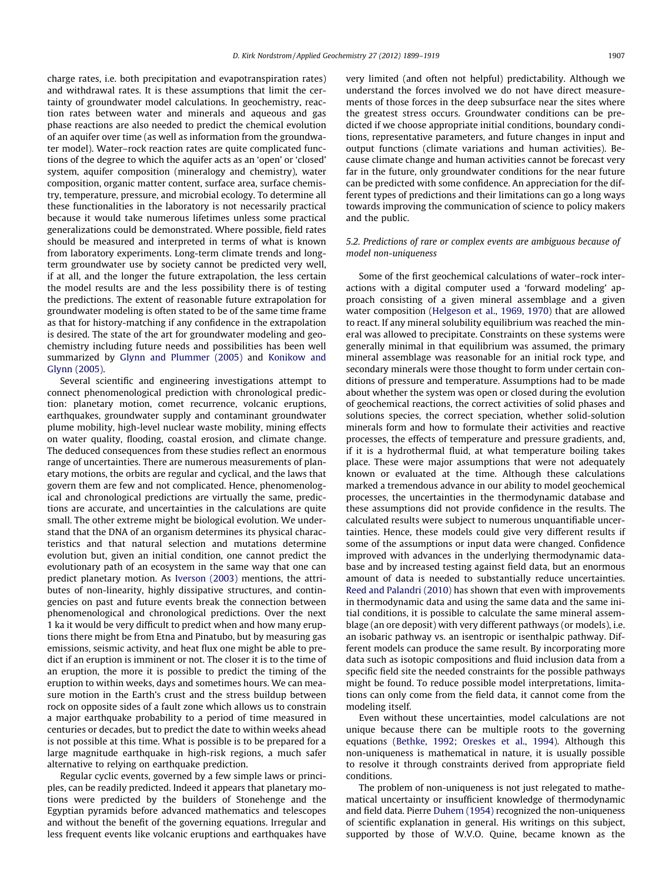charge rates, i.e. both precipitation and evapotranspiration rates) and withdrawal rates. It is these assumptions that limit the certainty of groundwater model calculations. In geochemistry, reaction rates between water and minerals and aqueous and gas phase reactions are also needed to predict the chemical evolution of an aquifer over time (as well as information from the groundwater model). Water–rock reaction rates are quite complicated functions of the degree to which the aquifer acts as an 'open' or 'closed' system, aquifer composition (mineralogy and chemistry), water composition, organic matter content, surface area, surface chemistry, temperature, pressure, and microbial ecology. To determine all these functionalities in the laboratory is not necessarily practical because it would take numerous lifetimes unless some practical generalizations could be demonstrated. Where possible, field rates should be measured and interpreted in terms of what is known from laboratory experiments. Long-term climate trends and longterm groundwater use by society cannot be predicted very well, if at all, and the longer the future extrapolation, the less certain the model results are and the less possibility there is of testing the predictions. The extent of reasonable future extrapolation for groundwater modeling is often stated to be of the same time frame as that for history-matching if any confidence in the extrapolation is desired. The state of the art for groundwater modeling and geochemistry including future needs and possibilities has been well summarized by [Glynn and Plummer \(2005\)](#page-19-0) and [Konikow and](#page-19-0) [Glynn \(2005\).](#page-19-0)

Several scientific and engineering investigations attempt to connect phenomenological prediction with chronological prediction: planetary motion, comet recurrence, volcanic eruptions, earthquakes, groundwater supply and contaminant groundwater plume mobility, high-level nuclear waste mobility, mining effects on water quality, flooding, coastal erosion, and climate change. The deduced consequences from these studies reflect an enormous range of uncertainties. There are numerous measurements of planetary motions, the orbits are regular and cyclical, and the laws that govern them are few and not complicated. Hence, phenomenological and chronological predictions are virtually the same, predictions are accurate, and uncertainties in the calculations are quite small. The other extreme might be biological evolution. We understand that the DNA of an organism determines its physical characteristics and that natural selection and mutations determine evolution but, given an initial condition, one cannot predict the evolutionary path of an ecosystem in the same way that one can predict planetary motion. As [Iverson \(2003\)](#page-19-0) mentions, the attributes of non-linearity, highly dissipative structures, and contingencies on past and future events break the connection between phenomenological and chronological predictions. Over the next 1 ka it would be very difficult to predict when and how many eruptions there might be from Etna and Pinatubo, but by measuring gas emissions, seismic activity, and heat flux one might be able to predict if an eruption is imminent or not. The closer it is to the time of an eruption, the more it is possible to predict the timing of the eruption to within weeks, days and sometimes hours. We can measure motion in the Earth's crust and the stress buildup between rock on opposite sides of a fault zone which allows us to constrain a major earthquake probability to a period of time measured in centuries or decades, but to predict the date to within weeks ahead is not possible at this time. What is possible is to be prepared for a large magnitude earthquake in high-risk regions, a much safer alternative to relying on earthquake prediction.

Regular cyclic events, governed by a few simple laws or principles, can be readily predicted. Indeed it appears that planetary motions were predicted by the builders of Stonehenge and the Egyptian pyramids before advanced mathematics and telescopes and without the benefit of the governing equations. Irregular and less frequent events like volcanic eruptions and earthquakes have very limited (and often not helpful) predictability. Although we understand the forces involved we do not have direct measurements of those forces in the deep subsurface near the sites where the greatest stress occurs. Groundwater conditions can be predicted if we choose appropriate initial conditions, boundary conditions, representative parameters, and future changes in input and output functions (climate variations and human activities). Because climate change and human activities cannot be forecast very far in the future, only groundwater conditions for the near future can be predicted with some confidence. An appreciation for the different types of predictions and their limitations can go a long ways towards improving the communication of science to policy makers and the public.

## 5.2. Predictions of rare or complex events are ambiguous because of model non-uniqueness

Some of the first geochemical calculations of water–rock interactions with a digital computer used a 'forward modeling' approach consisting of a given mineral assemblage and a given water composition [\(Helgeson et al., 1969, 1970\)](#page-19-0) that are allowed to react. If any mineral solubility equilibrium was reached the mineral was allowed to precipitate. Constraints on these systems were generally minimal in that equilibrium was assumed, the primary mineral assemblage was reasonable for an initial rock type, and secondary minerals were those thought to form under certain conditions of pressure and temperature. Assumptions had to be made about whether the system was open or closed during the evolution of geochemical reactions, the correct activities of solid phases and solutions species, the correct speciation, whether solid-solution minerals form and how to formulate their activities and reactive processes, the effects of temperature and pressure gradients, and, if it is a hydrothermal fluid, at what temperature boiling takes place. These were major assumptions that were not adequately known or evaluated at the time. Although these calculations marked a tremendous advance in our ability to model geochemical processes, the uncertainties in the thermodynamic database and these assumptions did not provide confidence in the results. The calculated results were subject to numerous unquantifiable uncertainties. Hence, these models could give very different results if some of the assumptions or input data were changed. Confidence improved with advances in the underlying thermodynamic database and by increased testing against field data, but an enormous amount of data is needed to substantially reduce uncertainties. [Reed and Palandri \(2010\)](#page-20-0) has shown that even with improvements in thermodynamic data and using the same data and the same initial conditions, it is possible to calculate the same mineral assemblage (an ore deposit) with very different pathways (or models), i.e. an isobaric pathway vs. an isentropic or isenthalpic pathway. Different models can produce the same result. By incorporating more data such as isotopic compositions and fluid inclusion data from a specific field site the needed constraints for the possible pathways might be found. To reduce possible model interpretations, limitations can only come from the field data, it cannot come from the modeling itself.

Even without these uncertainties, model calculations are not unique because there can be multiple roots to the governing equations ([Bethke, 1992; Oreskes et al., 1994\)](#page-19-0). Although this non-uniqueness is mathematical in nature, it is usually possible to resolve it through constraints derived from appropriate field conditions.

The problem of non-uniqueness is not just relegated to mathematical uncertainty or insufficient knowledge of thermodynamic and field data. Pierre [Duhem \(1954\)](#page-19-0) recognized the non-uniqueness of scientific explanation in general. His writings on this subject, supported by those of W.V.O. Quine, became known as the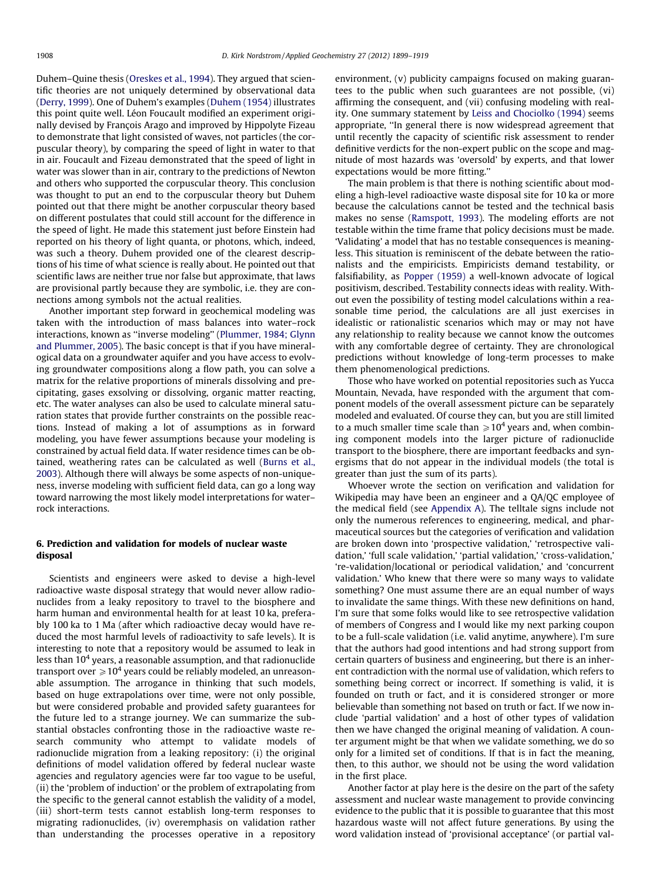Duhem–Quine thesis ([Oreskes et al., 1994\)](#page-20-0). They argued that scientific theories are not uniquely determined by observational data ([Derry, 1999\)](#page-19-0). One of Duhem's examples [\(Duhem \(1954\)](#page-19-0) illustrates this point quite well. Léon Foucault modified an experiment originally devised by François Arago and improved by Hippolyte Fizeau to demonstrate that light consisted of waves, not particles (the corpuscular theory), by comparing the speed of light in water to that in air. Foucault and Fizeau demonstrated that the speed of light in water was slower than in air, contrary to the predictions of Newton and others who supported the corpuscular theory. This conclusion was thought to put an end to the corpuscular theory but Duhem pointed out that there might be another corpuscular theory based on different postulates that could still account for the difference in the speed of light. He made this statement just before Einstein had reported on his theory of light quanta, or photons, which, indeed, was such a theory. Duhem provided one of the clearest descriptions of his time of what science is really about. He pointed out that scientific laws are neither true nor false but approximate, that laws are provisional partly because they are symbolic, i.e. they are connections among symbols not the actual realities.

Another important step forward in geochemical modeling was taken with the introduction of mass balances into water–rock interactions, known as ''inverse modeling'' [\(Plummer, 1984; Glynn](#page-20-0) [and Plummer, 2005](#page-20-0)). The basic concept is that if you have mineralogical data on a groundwater aquifer and you have access to evolving groundwater compositions along a flow path, you can solve a matrix for the relative proportions of minerals dissolving and precipitating, gases exsolving or dissolving, organic matter reacting, etc. The water analyses can also be used to calculate mineral saturation states that provide further constraints on the possible reactions. Instead of making a lot of assumptions as in forward modeling, you have fewer assumptions because your modeling is constrained by actual field data. If water residence times can be obtained, weathering rates can be calculated as well ([Burns et al.,](#page-19-0) [2003\)](#page-19-0). Although there will always be some aspects of non-uniqueness, inverse modeling with sufficient field data, can go a long way toward narrowing the most likely model interpretations for water– rock interactions.

# 6. Prediction and validation for models of nuclear waste disposal

Scientists and engineers were asked to devise a high-level radioactive waste disposal strategy that would never allow radionuclides from a leaky repository to travel to the biosphere and harm human and environmental health for at least 10 ka, preferably 100 ka to 1 Ma (after which radioactive decay would have reduced the most harmful levels of radioactivity to safe levels). It is interesting to note that a repository would be assumed to leak in less than  $10<sup>4</sup>$  years, a reasonable assumption, and that radionuclide transport over  $\geq 10^4$  years could be reliably modeled, an unreasonable assumption. The arrogance in thinking that such models, based on huge extrapolations over time, were not only possible, but were considered probable and provided safety guarantees for the future led to a strange journey. We can summarize the substantial obstacles confronting those in the radioactive waste research community who attempt to validate models of radionuclide migration from a leaking repository: (i) the original definitions of model validation offered by federal nuclear waste agencies and regulatory agencies were far too vague to be useful, (ii) the 'problem of induction' or the problem of extrapolating from the specific to the general cannot establish the validity of a model, (iii) short-term tests cannot establish long-term responses to migrating radionuclides, (iv) overemphasis on validation rather than understanding the processes operative in a repository environment, (v) publicity campaigns focused on making guarantees to the public when such guarantees are not possible, (vi) affirming the consequent, and (vii) confusing modeling with reality. One summary statement by [Leiss and Chociolko \(1994\)](#page-19-0) seems appropriate, ''In general there is now widespread agreement that until recently the capacity of scientific risk assessment to render definitive verdicts for the non-expert public on the scope and magnitude of most hazards was 'oversold' by experts, and that lower expectations would be more fitting.''

The main problem is that there is nothing scientific about modeling a high-level radioactive waste disposal site for 10 ka or more because the calculations cannot be tested and the technical basis makes no sense [\(Ramspott, 1993](#page-20-0)). The modeling efforts are not testable within the time frame that policy decisions must be made. 'Validating' a model that has no testable consequences is meaningless. This situation is reminiscent of the debate between the rationalists and the empiricists. Empiricists demand testability, or falsifiability, as [Popper \(1959\)](#page-20-0) a well-known advocate of logical positivism, described. Testability connects ideas with reality. Without even the possibility of testing model calculations within a reasonable time period, the calculations are all just exercises in idealistic or rationalistic scenarios which may or may not have any relationship to reality because we cannot know the outcomes with any comfortable degree of certainty. They are chronological predictions without knowledge of long-term processes to make them phenomenological predictions.

Those who have worked on potential repositories such as Yucca Mountain, Nevada, have responded with the argument that component models of the overall assessment picture can be separately modeled and evaluated. Of course they can, but you are still limited to a much smaller time scale than  $\geq 10^4$  years and, when combining component models into the larger picture of radionuclide transport to the biosphere, there are important feedbacks and synergisms that do not appear in the individual models (the total is greater than just the sum of its parts).

Whoever wrote the section on verification and validation for Wikipedia may have been an engineer and a QA/QC employee of the medical field (see [Appendix A\)](#page-14-0). The telltale signs include not only the numerous references to engineering, medical, and pharmaceutical sources but the categories of verification and validation are broken down into 'prospective validation,' 'retrospective validation,' 'full scale validation,' 'partial validation,' 'cross-validation,' 're-validation/locational or periodical validation,' and 'concurrent validation.' Who knew that there were so many ways to validate something? One must assume there are an equal number of ways to invalidate the same things. With these new definitions on hand, I'm sure that some folks would like to see retrospective validation of members of Congress and I would like my next parking coupon to be a full-scale validation (i.e. valid anytime, anywhere). I'm sure that the authors had good intentions and had strong support from certain quarters of business and engineering, but there is an inherent contradiction with the normal use of validation, which refers to something being correct or incorrect. If something is valid, it is founded on truth or fact, and it is considered stronger or more believable than something not based on truth or fact. If we now include 'partial validation' and a host of other types of validation then we have changed the original meaning of validation. A counter argument might be that when we validate something, we do so only for a limited set of conditions. If that is in fact the meaning, then, to this author, we should not be using the word validation in the first place.

Another factor at play here is the desire on the part of the safety assessment and nuclear waste management to provide convincing evidence to the public that it is possible to guarantee that this most hazardous waste will not affect future generations. By using the word validation instead of 'provisional acceptance' (or partial val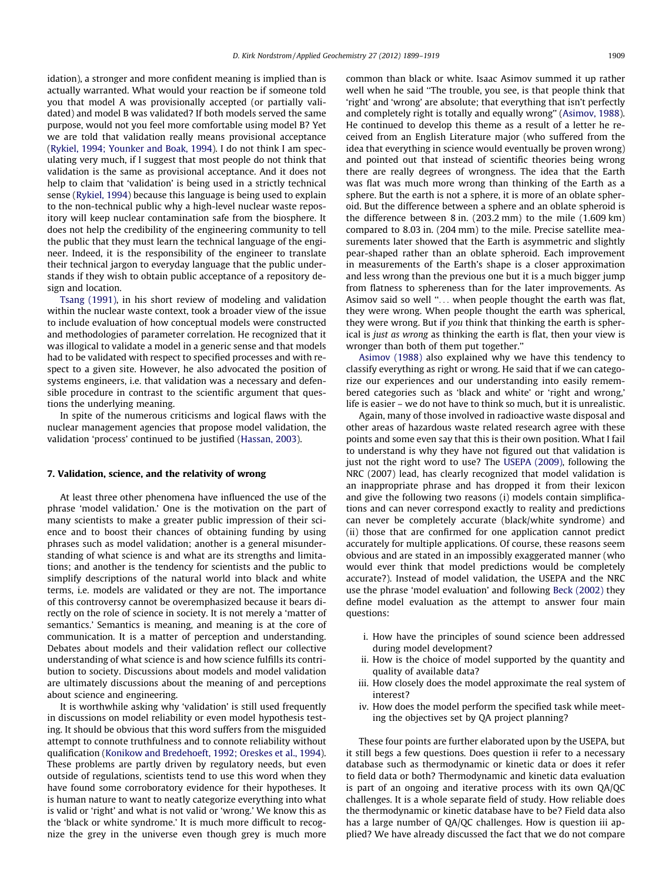idation), a stronger and more confident meaning is implied than is actually warranted. What would your reaction be if someone told you that model A was provisionally accepted (or partially validated) and model B was validated? If both models served the same purpose, would not you feel more comfortable using model B? Yet we are told that validation really means provisional acceptance ([Rykiel, 1994; Younker and Boak, 1994\)](#page-20-0). I do not think I am speculating very much, if I suggest that most people do not think that validation is the same as provisional acceptance. And it does not help to claim that 'validation' is being used in a strictly technical sense ([Rykiel, 1994\)](#page-20-0) because this language is being used to explain to the non-technical public why a high-level nuclear waste repository will keep nuclear contamination safe from the biosphere. It does not help the credibility of the engineering community to tell the public that they must learn the technical language of the engineer. Indeed, it is the responsibility of the engineer to translate their technical jargon to everyday language that the public understands if they wish to obtain public acceptance of a repository design and location.

[Tsang \(1991\),](#page-20-0) in his short review of modeling and validation within the nuclear waste context, took a broader view of the issue to include evaluation of how conceptual models were constructed and methodologies of parameter correlation. He recognized that it was illogical to validate a model in a generic sense and that models had to be validated with respect to specified processes and with respect to a given site. However, he also advocated the position of systems engineers, i.e. that validation was a necessary and defensible procedure in contrast to the scientific argument that questions the underlying meaning.

In spite of the numerous criticisms and logical flaws with the nuclear management agencies that propose model validation, the validation 'process' continued to be justified ([Hassan, 2003](#page-19-0)).

#### 7. Validation, science, and the relativity of wrong

At least three other phenomena have influenced the use of the phrase 'model validation.' One is the motivation on the part of many scientists to make a greater public impression of their science and to boost their chances of obtaining funding by using phrases such as model validation; another is a general misunderstanding of what science is and what are its strengths and limitations; and another is the tendency for scientists and the public to simplify descriptions of the natural world into black and white terms, i.e. models are validated or they are not. The importance of this controversy cannot be overemphasized because it bears directly on the role of science in society. It is not merely a 'matter of semantics.' Semantics is meaning, and meaning is at the core of communication. It is a matter of perception and understanding. Debates about models and their validation reflect our collective understanding of what science is and how science fulfills its contribution to society. Discussions about models and model validation are ultimately discussions about the meaning of and perceptions about science and engineering.

It is worthwhile asking why 'validation' is still used frequently in discussions on model reliability or even model hypothesis testing. It should be obvious that this word suffers from the misguided attempt to connote truthfulness and to connote reliability without qualification ([Konikow and Bredehoeft, 1992; Oreskes et al., 1994\)](#page-19-0). These problems are partly driven by regulatory needs, but even outside of regulations, scientists tend to use this word when they have found some corroboratory evidence for their hypotheses. It is human nature to want to neatly categorize everything into what is valid or 'right' and what is not valid or 'wrong.' We know this as the 'black or white syndrome.' It is much more difficult to recognize the grey in the universe even though grey is much more common than black or white. Isaac Asimov summed it up rather well when he said ''The trouble, you see, is that people think that 'right' and 'wrong' are absolute; that everything that isn't perfectly and completely right is totally and equally wrong'' [\(Asimov, 1988\)](#page-18-0). He continued to develop this theme as a result of a letter he received from an English Literature major (who suffered from the idea that everything in science would eventually be proven wrong) and pointed out that instead of scientific theories being wrong there are really degrees of wrongness. The idea that the Earth was flat was much more wrong than thinking of the Earth as a sphere. But the earth is not a sphere, it is more of an oblate spheroid. But the difference between a sphere and an oblate spheroid is the difference between 8 in. (203.2 mm) to the mile (1.609 km) compared to 8.03 in. (204 mm) to the mile. Precise satellite measurements later showed that the Earth is asymmetric and slightly pear-shaped rather than an oblate spheroid. Each improvement in measurements of the Earth's shape is a closer approximation and less wrong than the previous one but it is a much bigger jump from flatness to sphereness than for the later improvements. As Asimov said so well ''... when people thought the earth was flat, they were wrong. When people thought the earth was spherical, they were wrong. But if you think that thinking the earth is spherical is just as wrong as thinking the earth is flat, then your view is wronger than both of them put together.''

[Asimov \(1988\)](#page-18-0) also explained why we have this tendency to classify everything as right or wrong. He said that if we can categorize our experiences and our understanding into easily remembered categories such as 'black and white' or 'right and wrong,' life is easier – we do not have to think so much, but it is unrealistic.

Again, many of those involved in radioactive waste disposal and other areas of hazardous waste related research agree with these points and some even say that this is their own position. What I fail to understand is why they have not figured out that validation is just not the right word to use? The [USEPA \(2009\)](#page-20-0), following the NRC (2007) lead, has clearly recognized that model validation is an inappropriate phrase and has dropped it from their lexicon and give the following two reasons (i) models contain simplifications and can never correspond exactly to reality and predictions can never be completely accurate (black/white syndrome) and (ii) those that are confirmed for one application cannot predict accurately for multiple applications. Of course, these reasons seem obvious and are stated in an impossibly exaggerated manner (who would ever think that model predictions would be completely accurate?). Instead of model validation, the USEPA and the NRC use the phrase 'model evaluation' and following [Beck \(2002\)](#page-19-0) they define model evaluation as the attempt to answer four main questions:

- i. How have the principles of sound science been addressed during model development?
- ii. How is the choice of model supported by the quantity and quality of available data?
- iii. How closely does the model approximate the real system of interest?
- iv. How does the model perform the specified task while meeting the objectives set by QA project planning?

These four points are further elaborated upon by the USEPA, but it still begs a few questions. Does question ii refer to a necessary database such as thermodynamic or kinetic data or does it refer to field data or both? Thermodynamic and kinetic data evaluation is part of an ongoing and iterative process with its own QA/QC challenges. It is a whole separate field of study. How reliable does the thermodynamic or kinetic database have to be? Field data also has a large number of QA/QC challenges. How is question iii applied? We have already discussed the fact that we do not compare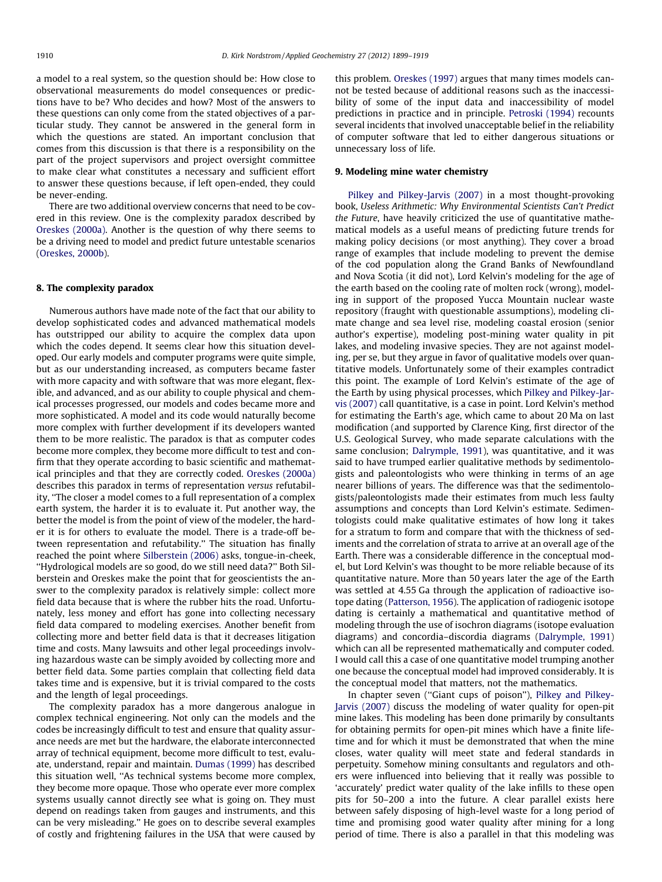a model to a real system, so the question should be: How close to observational measurements do model consequences or predictions have to be? Who decides and how? Most of the answers to these questions can only come from the stated objectives of a particular study. They cannot be answered in the general form in which the questions are stated. An important conclusion that comes from this discussion is that there is a responsibility on the part of the project supervisors and project oversight committee to make clear what constitutes a necessary and sufficient effort to answer these questions because, if left open-ended, they could be never-ending.

There are two additional overview concerns that need to be covered in this review. One is the complexity paradox described by [Oreskes \(2000a\).](#page-20-0) Another is the question of why there seems to be a driving need to model and predict future untestable scenarios ([Oreskes, 2000b](#page-20-0)).

#### 8. The complexity paradox

Numerous authors have made note of the fact that our ability to develop sophisticated codes and advanced mathematical models has outstripped our ability to acquire the complex data upon which the codes depend. It seems clear how this situation developed. Our early models and computer programs were quite simple, but as our understanding increased, as computers became faster with more capacity and with software that was more elegant, flexible, and advanced, and as our ability to couple physical and chemical processes progressed, our models and codes became more and more sophisticated. A model and its code would naturally become more complex with further development if its developers wanted them to be more realistic. The paradox is that as computer codes become more complex, they become more difficult to test and confirm that they operate according to basic scientific and mathematical principles and that they are correctly coded. [Oreskes \(2000a\)](#page-20-0) describes this paradox in terms of representation versus refutability, ''The closer a model comes to a full representation of a complex earth system, the harder it is to evaluate it. Put another way, the better the model is from the point of view of the modeler, the harder it is for others to evaluate the model. There is a trade-off between representation and refutability.'' The situation has finally reached the point where [Silberstein \(2006\)](#page-20-0) asks, tongue-in-cheek, ''Hydrological models are so good, do we still need data?'' Both Silberstein and Oreskes make the point that for geoscientists the answer to the complexity paradox is relatively simple: collect more field data because that is where the rubber hits the road. Unfortunately, less money and effort has gone into collecting necessary field data compared to modeling exercises. Another benefit from collecting more and better field data is that it decreases litigation time and costs. Many lawsuits and other legal proceedings involving hazardous waste can be simply avoided by collecting more and better field data. Some parties complain that collecting field data takes time and is expensive, but it is trivial compared to the costs and the length of legal proceedings.

The complexity paradox has a more dangerous analogue in complex technical engineering. Not only can the models and the codes be increasingly difficult to test and ensure that quality assurance needs are met but the hardware, the elaborate interconnected array of technical equipment, become more difficult to test, evaluate, understand, repair and maintain. [Dumas \(1999\)](#page-19-0) has described this situation well, ''As technical systems become more complex, they become more opaque. Those who operate ever more complex systems usually cannot directly see what is going on. They must depend on readings taken from gauges and instruments, and this can be very misleading.'' He goes on to describe several examples of costly and frightening failures in the USA that were caused by this problem. [Oreskes \(1997\)](#page-20-0) argues that many times models cannot be tested because of additional reasons such as the inaccessibility of some of the input data and inaccessibility of model predictions in practice and in principle. [Petroski \(1994\)](#page-20-0) recounts several incidents that involved unacceptable belief in the reliability of computer software that led to either dangerous situations or unnecessary loss of life.

#### 9. Modeling mine water chemistry

[Pilkey and Pilkey-Jarvis \(2007\)](#page-20-0) in a most thought-provoking book, Useless Arithmetic: Why Environmental Scientists Can't Predict the Future, have heavily criticized the use of quantitative mathematical models as a useful means of predicting future trends for making policy decisions (or most anything). They cover a broad range of examples that include modeling to prevent the demise of the cod population along the Grand Banks of Newfoundland and Nova Scotia (it did not), Lord Kelvin's modeling for the age of the earth based on the cooling rate of molten rock (wrong), modeling in support of the proposed Yucca Mountain nuclear waste repository (fraught with questionable assumptions), modeling climate change and sea level rise, modeling coastal erosion (senior author's expertise), modeling post-mining water quality in pit lakes, and modeling invasive species. They are not against modeling, per se, but they argue in favor of qualitative models over quantitative models. Unfortunately some of their examples contradict this point. The example of Lord Kelvin's estimate of the age of the Earth by using physical processes, which [Pilkey and Pilkey-Jar](#page-20-0)[vis \(2007\)](#page-20-0) call quantitative, is a case in point. Lord Kelvin's method for estimating the Earth's age, which came to about 20 Ma on last modification (and supported by Clarence King, first director of the U.S. Geological Survey, who made separate calculations with the same conclusion; [Dalrymple, 1991\)](#page-19-0), was quantitative, and it was said to have trumped earlier qualitative methods by sedimentologists and paleontologists who were thinking in terms of an age nearer billions of years. The difference was that the sedimentologists/paleontologists made their estimates from much less faulty assumptions and concepts than Lord Kelvin's estimate. Sedimentologists could make qualitative estimates of how long it takes for a stratum to form and compare that with the thickness of sediments and the correlation of strata to arrive at an overall age of the Earth. There was a considerable difference in the conceptual model, but Lord Kelvin's was thought to be more reliable because of its quantitative nature. More than 50 years later the age of the Earth was settled at 4.55 Ga through the application of radioactive isotope dating [\(Patterson, 1956\)](#page-20-0). The application of radiogenic isotope dating is certainly a mathematical and quantitative method of modeling through the use of isochron diagrams (isotope evaluation diagrams) and concordia–discordia diagrams ([Dalrymple, 1991\)](#page-19-0) which can all be represented mathematically and computer coded. I would call this a case of one quantitative model trumping another one because the conceptual model had improved considerably. It is the conceptual model that matters, not the mathematics.

In chapter seven ("Giant cups of poison"), [Pilkey and Pilkey-](#page-20-0)[Jarvis \(2007\)](#page-20-0) discuss the modeling of water quality for open-pit mine lakes. This modeling has been done primarily by consultants for obtaining permits for open-pit mines which have a finite lifetime and for which it must be demonstrated that when the mine closes, water quality will meet state and federal standards in perpetuity. Somehow mining consultants and regulators and others were influenced into believing that it really was possible to 'accurately' predict water quality of the lake infills to these open pits for 50–200 a into the future. A clear parallel exists here between safely disposing of high-level waste for a long period of time and promising good water quality after mining for a long period of time. There is also a parallel in that this modeling was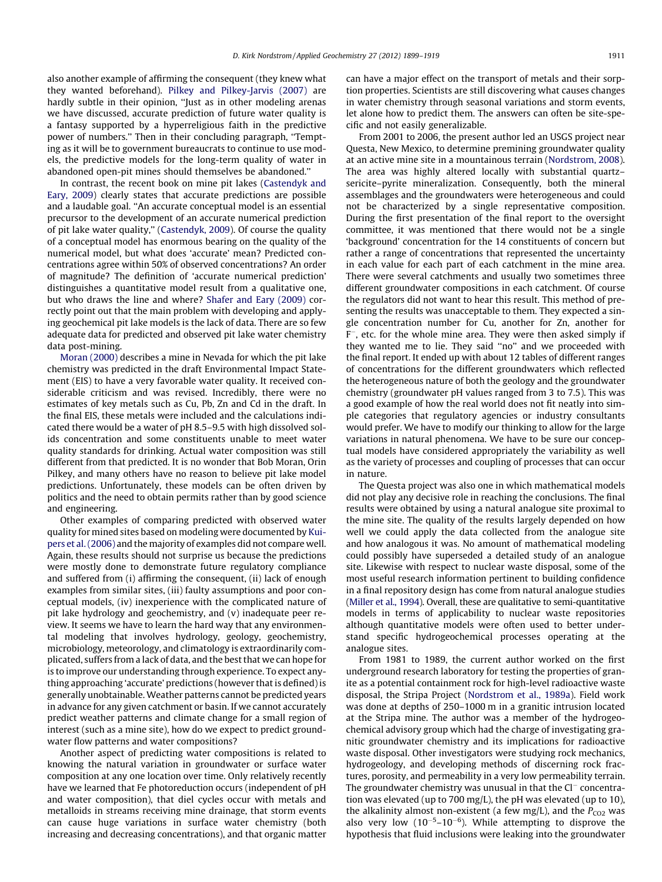also another example of affirming the consequent (they knew what they wanted beforehand). [Pilkey and Pilkey-Jarvis \(2007\)](#page-20-0) are hardly subtle in their opinion, "Just as in other modeling arenas we have discussed, accurate prediction of future water quality is a fantasy supported by a hyperreligious faith in the predictive power of numbers.'' Then in their concluding paragraph, ''Tempting as it will be to government bureaucrats to continue to use models, the predictive models for the long-term quality of water in abandoned open-pit mines should themselves be abandoned.''

In contrast, the recent book on mine pit lakes [\(Castendyk and](#page-19-0) [Eary, 2009\)](#page-19-0) clearly states that accurate predictions are possible and a laudable goal. ''An accurate conceptual model is an essential precursor to the development of an accurate numerical prediction of pit lake water quality,'' ([Castendyk, 2009\)](#page-19-0). Of course the quality of a conceptual model has enormous bearing on the quality of the numerical model, but what does 'accurate' mean? Predicted concentrations agree within 50% of observed concentrations? An order of magnitude? The definition of 'accurate numerical prediction' distinguishes a quantitative model result from a qualitative one, but who draws the line and where? [Shafer and Eary \(2009\)](#page-20-0) correctly point out that the main problem with developing and applying geochemical pit lake models is the lack of data. There are so few adequate data for predicted and observed pit lake water chemistry data post-mining.

[Moran \(2000\)](#page-19-0) describes a mine in Nevada for which the pit lake chemistry was predicted in the draft Environmental Impact Statement (EIS) to have a very favorable water quality. It received considerable criticism and was revised. Incredibly, there were no estimates of key metals such as Cu, Pb, Zn and Cd in the draft. In the final EIS, these metals were included and the calculations indicated there would be a water of pH 8.5–9.5 with high dissolved solids concentration and some constituents unable to meet water quality standards for drinking. Actual water composition was still different from that predicted. It is no wonder that Bob Moran, Orin Pilkey, and many others have no reason to believe pit lake model predictions. Unfortunately, these models can be often driven by politics and the need to obtain permits rather than by good science and engineering.

Other examples of comparing predicted with observed water quality for mined sites based on modeling were documented by [Kui](#page-19-0)[pers et al. \(2006\)](#page-19-0) and the majority of examples did not compare well. Again, these results should not surprise us because the predictions were mostly done to demonstrate future regulatory compliance and suffered from (i) affirming the consequent, (ii) lack of enough examples from similar sites, (iii) faulty assumptions and poor conceptual models, (iv) inexperience with the complicated nature of pit lake hydrology and geochemistry, and (v) inadequate peer review. It seems we have to learn the hard way that any environmental modeling that involves hydrology, geology, geochemistry, microbiology, meteorology, and climatology is extraordinarily complicated, suffers from a lack of data, and the best that we can hope for is to improve our understanding through experience. To expect anything approaching 'accurate' predictions (however that is defined) is generally unobtainable. Weather patterns cannot be predicted years in advance for any given catchment or basin. If we cannot accurately predict weather patterns and climate change for a small region of interest (such as a mine site), how do we expect to predict groundwater flow patterns and water compositions?

Another aspect of predicting water compositions is related to knowing the natural variation in groundwater or surface water composition at any one location over time. Only relatively recently have we learned that Fe photoreduction occurs (independent of pH and water composition), that diel cycles occur with metals and metalloids in streams receiving mine drainage, that storm events can cause huge variations in surface water chemistry (both increasing and decreasing concentrations), and that organic matter can have a major effect on the transport of metals and their sorption properties. Scientists are still discovering what causes changes in water chemistry through seasonal variations and storm events, let alone how to predict them. The answers can often be site-specific and not easily generalizable.

From 2001 to 2006, the present author led an USGS project near Questa, New Mexico, to determine premining groundwater quality at an active mine site in a mountainous terrain ([Nordstrom, 2008\)](#page-20-0). The area was highly altered locally with substantial quartz– sericite–pyrite mineralization. Consequently, both the mineral assemblages and the groundwaters were heterogeneous and could not be characterized by a single representative composition. During the first presentation of the final report to the oversight committee, it was mentioned that there would not be a single 'background' concentration for the 14 constituents of concern but rather a range of concentrations that represented the uncertainty in each value for each part of each catchment in the mine area. There were several catchments and usually two sometimes three different groundwater compositions in each catchment. Of course the regulators did not want to hear this result. This method of presenting the results was unacceptable to them. They expected a single concentration number for Cu, another for Zn, another for F<sup>-</sup>, etc. for the whole mine area. They were then asked simply if they wanted me to lie. They said ''no'' and we proceeded with the final report. It ended up with about 12 tables of different ranges of concentrations for the different groundwaters which reflected the heterogeneous nature of both the geology and the groundwater chemistry (groundwater pH values ranged from 3 to 7.5). This was a good example of how the real world does not fit neatly into simple categories that regulatory agencies or industry consultants would prefer. We have to modify our thinking to allow for the large variations in natural phenomena. We have to be sure our conceptual models have considered appropriately the variability as well as the variety of processes and coupling of processes that can occur in nature.

The Questa project was also one in which mathematical models did not play any decisive role in reaching the conclusions. The final results were obtained by using a natural analogue site proximal to the mine site. The quality of the results largely depended on how well we could apply the data collected from the analogue site and how analogous it was. No amount of mathematical modeling could possibly have superseded a detailed study of an analogue site. Likewise with respect to nuclear waste disposal, some of the most useful research information pertinent to building confidence in a final repository design has come from natural analogue studies [\(Miller et al., 1994](#page-19-0)). Overall, these are qualitative to semi-quantitative models in terms of applicability to nuclear waste repositories although quantitative models were often used to better understand specific hydrogeochemical processes operating at the analogue sites.

From 1981 to 1989, the current author worked on the first underground research laboratory for testing the properties of granite as a potential containment rock for high-level radioactive waste disposal, the Stripa Project [\(Nordstrom et al., 1989a](#page-20-0)). Field work was done at depths of 250–1000 m in a granitic intrusion located at the Stripa mine. The author was a member of the hydrogeochemical advisory group which had the charge of investigating granitic groundwater chemistry and its implications for radioactive waste disposal. Other investigators were studying rock mechanics, hydrogeology, and developing methods of discerning rock fractures, porosity, and permeability in a very low permeability terrain. The groundwater chemistry was unusual in that the  $Cl^-$  concentration was elevated (up to 700 mg/L), the pH was elevated (up to 10), the alkalinity almost non-existent (a few mg/L), and the  $P_{CO2}$  was also very low  $(10^{-5}-10^{-6})$ . While attempting to disprove the hypothesis that fluid inclusions were leaking into the groundwater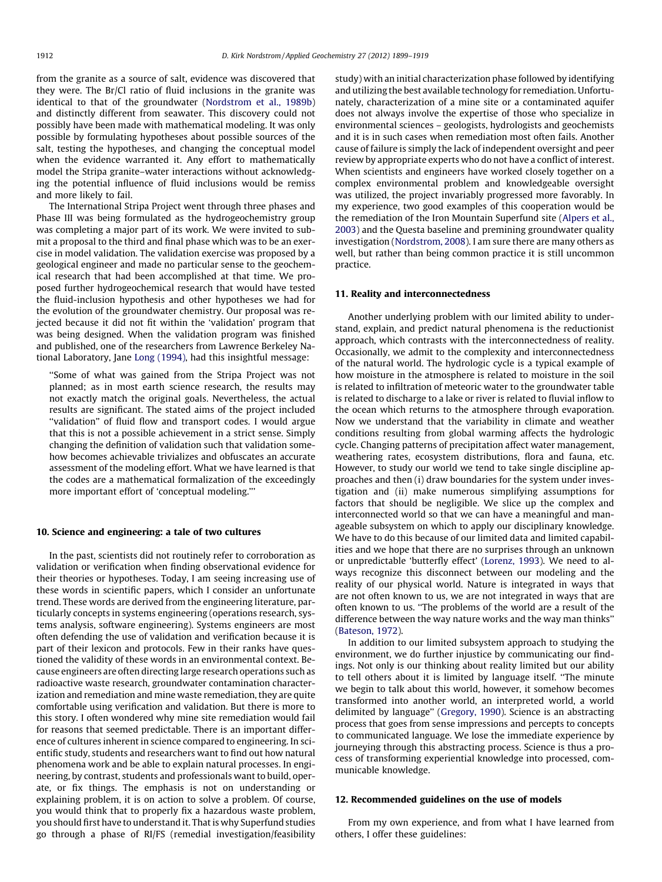from the granite as a source of salt, evidence was discovered that they were. The Br/Cl ratio of fluid inclusions in the granite was identical to that of the groundwater [\(Nordstrom et al., 1989b\)](#page-20-0) and distinctly different from seawater. This discovery could not possibly have been made with mathematical modeling. It was only possible by formulating hypotheses about possible sources of the salt, testing the hypotheses, and changing the conceptual model when the evidence warranted it. Any effort to mathematically model the Stripa granite–water interactions without acknowledging the potential influence of fluid inclusions would be remiss and more likely to fail.

The International Stripa Project went through three phases and Phase III was being formulated as the hydrogeochemistry group was completing a major part of its work. We were invited to submit a proposal to the third and final phase which was to be an exercise in model validation. The validation exercise was proposed by a geological engineer and made no particular sense to the geochemical research that had been accomplished at that time. We proposed further hydrogeochemical research that would have tested the fluid-inclusion hypothesis and other hypotheses we had for the evolution of the groundwater chemistry. Our proposal was rejected because it did not fit within the 'validation' program that was being designed. When the validation program was finished and published, one of the researchers from Lawrence Berkeley National Laboratory, Jane [Long \(1994\),](#page-19-0) had this insightful message:

''Some of what was gained from the Stripa Project was not planned; as in most earth science research, the results may not exactly match the original goals. Nevertheless, the actual results are significant. The stated aims of the project included ''validation'' of fluid flow and transport codes. I would argue that this is not a possible achievement in a strict sense. Simply changing the definition of validation such that validation somehow becomes achievable trivializes and obfuscates an accurate assessment of the modeling effort. What we have learned is that the codes are a mathematical formalization of the exceedingly more important effort of 'conceptual modeling.'''

#### 10. Science and engineering: a tale of two cultures

In the past, scientists did not routinely refer to corroboration as validation or verification when finding observational evidence for their theories or hypotheses. Today, I am seeing increasing use of these words in scientific papers, which I consider an unfortunate trend. These words are derived from the engineering literature, particularly concepts in systems engineering (operations research, systems analysis, software engineering). Systems engineers are most often defending the use of validation and verification because it is part of their lexicon and protocols. Few in their ranks have questioned the validity of these words in an environmental context. Because engineers are often directing large research operations such as radioactive waste research, groundwater contamination characterization and remediation and mine waste remediation, they are quite comfortable using verification and validation. But there is more to this story. I often wondered why mine site remediation would fail for reasons that seemed predictable. There is an important difference of cultures inherent in science compared to engineering. In scientific study, students and researchers want to find out how natural phenomena work and be able to explain natural processes. In engineering, by contrast, students and professionals want to build, operate, or fix things. The emphasis is not on understanding or explaining problem, it is on action to solve a problem. Of course, you would think that to properly fix a hazardous waste problem, you should first have to understand it. That is why Superfund studies go through a phase of RI/FS (remedial investigation/feasibility study) with an initial characterization phase followed by identifying and utilizing the best available technology for remediation. Unfortunately, characterization of a mine site or a contaminated aquifer does not always involve the expertise of those who specialize in environmental sciences – geologists, hydrologists and geochemists and it is in such cases when remediation most often fails. Another cause of failure is simply the lack of independent oversight and peer review by appropriate experts who do not have a conflict of interest. When scientists and engineers have worked closely together on a complex environmental problem and knowledgeable oversight was utilized, the project invariably progressed more favorably. In my experience, two good examples of this cooperation would be the remediation of the Iron Mountain Superfund site [\(Alpers et al.,](#page-18-0) [2003\)](#page-18-0) and the Questa baseline and premining groundwater quality investigation [\(Nordstrom, 2008\)](#page-20-0). I am sure there are many others as well, but rather than being common practice it is still uncommon practice.

#### 11. Reality and interconnectedness

Another underlying problem with our limited ability to understand, explain, and predict natural phenomena is the reductionist approach, which contrasts with the interconnectedness of reality. Occasionally, we admit to the complexity and interconnectedness of the natural world. The hydrologic cycle is a typical example of how moisture in the atmosphere is related to moisture in the soil is related to infiltration of meteoric water to the groundwater table is related to discharge to a lake or river is related to fluvial inflow to the ocean which returns to the atmosphere through evaporation. Now we understand that the variability in climate and weather conditions resulting from global warming affects the hydrologic cycle. Changing patterns of precipitation affect water management, weathering rates, ecosystem distributions, flora and fauna, etc. However, to study our world we tend to take single discipline approaches and then (i) draw boundaries for the system under investigation and (ii) make numerous simplifying assumptions for factors that should be negligible. We slice up the complex and interconnected world so that we can have a meaningful and manageable subsystem on which to apply our disciplinary knowledge. We have to do this because of our limited data and limited capabilities and we hope that there are no surprises through an unknown or unpredictable 'butterfly effect' [\(Lorenz, 1993\)](#page-19-0). We need to always recognize this disconnect between our modeling and the reality of our physical world. Nature is integrated in ways that are not often known to us, we are not integrated in ways that are often known to us. ''The problems of the world are a result of the difference between the way nature works and the way man thinks'' ([Bateson, 1972](#page-19-0)).

In addition to our limited subsystem approach to studying the environment, we do further injustice by communicating our findings. Not only is our thinking about reality limited but our ability to tell others about it is limited by language itself. ''The minute we begin to talk about this world, however, it somehow becomes transformed into another world, an interpreted world, a world delimited by language'' ([Gregory, 1990\)](#page-19-0). Science is an abstracting process that goes from sense impressions and percepts to concepts to communicated language. We lose the immediate experience by journeying through this abstracting process. Science is thus a process of transforming experiential knowledge into processed, communicable knowledge.

## 12. Recommended guidelines on the use of models

From my own experience, and from what I have learned from others, I offer these guidelines: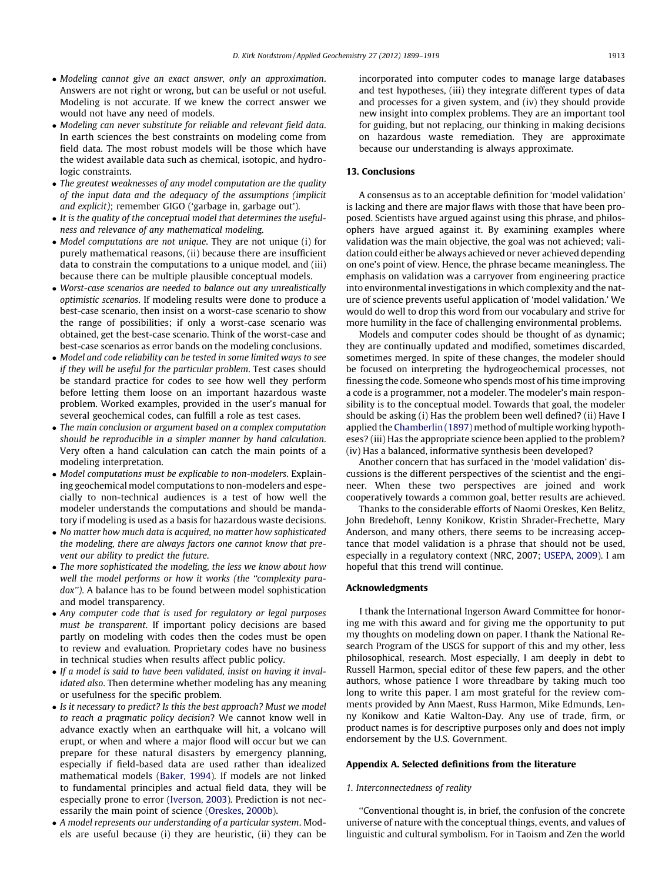- <span id="page-14-0"></span> Modeling cannot give an exact answer, only an approximation. Answers are not right or wrong, but can be useful or not useful. Modeling is not accurate. If we knew the correct answer we would not have any need of models.
- Modeling can never substitute for reliable and relevant field data. In earth sciences the best constraints on modeling come from field data. The most robust models will be those which have the widest available data such as chemical, isotopic, and hydrologic constraints.
- The greatest weaknesses of any model computation are the quality of the input data and the adequacy of the assumptions (implicit and explicit); remember GIGO ('garbage in, garbage out').
- It is the quality of the conceptual model that determines the usefulness and relevance of any mathematical modeling.
- Model computations are not unique. They are not unique (i) for purely mathematical reasons, (ii) because there are insufficient data to constrain the computations to a unique model, and (iii) because there can be multiple plausible conceptual models.
- Worst-case scenarios are needed to balance out any unrealistically optimistic scenarios. If modeling results were done to produce a best-case scenario, then insist on a worst-case scenario to show the range of possibilities; if only a worst-case scenario was obtained, get the best-case scenario. Think of the worst-case and best-case scenarios as error bands on the modeling conclusions.
- Model and code reliability can be tested in some limited ways to see if they will be useful for the particular problem. Test cases should be standard practice for codes to see how well they perform before letting them loose on an important hazardous waste problem. Worked examples, provided in the user's manual for several geochemical codes, can fulfill a role as test cases.
- The main conclusion or argument based on a complex computation should be reproducible in a simpler manner by hand calculation. Very often a hand calculation can catch the main points of a modeling interpretation.
- Model computations must be explicable to non-modelers. Explaining geochemical model computations to non-modelers and especially to non-technical audiences is a test of how well the modeler understands the computations and should be mandatory if modeling is used as a basis for hazardous waste decisions.
- No matter how much data is acquired, no matter how sophisticated the modeling, there are always factors one cannot know that prevent our ability to predict the future.
- The more sophisticated the modeling, the less we know about how well the model performs or how it works (the ''complexity paradox''). A balance has to be found between model sophistication and model transparency.
- Any computer code that is used for regulatory or legal purposes must be transparent. If important policy decisions are based partly on modeling with codes then the codes must be open to review and evaluation. Proprietary codes have no business in technical studies when results affect public policy.
- If a model is said to have been validated, insist on having it invalidated also. Then determine whether modeling has any meaning or usefulness for the specific problem.
- Is it necessary to predict? Is this the best approach? Must we model to reach a pragmatic policy decision? We cannot know well in advance exactly when an earthquake will hit, a volcano will erupt, or when and where a major flood will occur but we can prepare for these natural disasters by emergency planning, especially if field-based data are used rather than idealized mathematical models ([Baker, 1994\)](#page-19-0). If models are not linked to fundamental principles and actual field data, they will be especially prone to error [\(Iverson, 2003](#page-19-0)). Prediction is not necessarily the main point of science ([Oreskes, 2000b](#page-20-0)).
- A model represents our understanding of a particular system. Models are useful because (i) they are heuristic, (ii) they can be

incorporated into computer codes to manage large databases and test hypotheses, (iii) they integrate different types of data and processes for a given system, and (iv) they should provide new insight into complex problems. They are an important tool for guiding, but not replacing, our thinking in making decisions on hazardous waste remediation. They are approximate because our understanding is always approximate.

# 13. Conclusions

A consensus as to an acceptable definition for 'model validation' is lacking and there are major flaws with those that have been proposed. Scientists have argued against using this phrase, and philosophers have argued against it. By examining examples where validation was the main objective, the goal was not achieved; validation could either be always achieved or never achieved depending on one's point of view. Hence, the phrase became meaningless. The emphasis on validation was a carryover from engineering practice into environmental investigations in which complexity and the nature of science prevents useful application of 'model validation.' We would do well to drop this word from our vocabulary and strive for more humility in the face of challenging environmental problems.

Models and computer codes should be thought of as dynamic; they are continually updated and modified, sometimes discarded, sometimes merged. In spite of these changes, the modeler should be focused on interpreting the hydrogeochemical processes, not finessing the code. Someone who spends most of his time improving a code is a programmer, not a modeler. The modeler's main responsibility is to the conceptual model. Towards that goal, the modeler should be asking (i) Has the problem been well defined? (ii) Have I applied the [Chamberlin \(1897\)](#page-19-0) method of multiple working hypotheses? (iii) Has the appropriate science been applied to the problem? (iv) Has a balanced, informative synthesis been developed?

Another concern that has surfaced in the 'model validation' discussions is the different perspectives of the scientist and the engineer. When these two perspectives are joined and work cooperatively towards a common goal, better results are achieved.

Thanks to the considerable efforts of Naomi Oreskes, Ken Belitz, John Bredehoft, Lenny Konikow, Kristin Shrader-Frechette, Mary Anderson, and many others, there seems to be increasing acceptance that model validation is a phrase that should not be used, especially in a regulatory context (NRC, 2007; [USEPA, 2009\)](#page-20-0). I am hopeful that this trend will continue.

# Acknowledgments

I thank the International Ingerson Award Committee for honoring me with this award and for giving me the opportunity to put my thoughts on modeling down on paper. I thank the National Research Program of the USGS for support of this and my other, less philosophical, research. Most especially, I am deeply in debt to Russell Harmon, special editor of these few papers, and the other authors, whose patience I wore threadbare by taking much too long to write this paper. I am most grateful for the review comments provided by Ann Maest, Russ Harmon, Mike Edmunds, Lenny Konikow and Katie Walton-Day. Any use of trade, firm, or product names is for descriptive purposes only and does not imply endorsement by the U.S. Government.

#### Appendix A. Selected definitions from the literature

#### 1. Interconnectedness of reality

''Conventional thought is, in brief, the confusion of the concrete universe of nature with the conceptual things, events, and values of linguistic and cultural symbolism. For in Taoism and Zen the world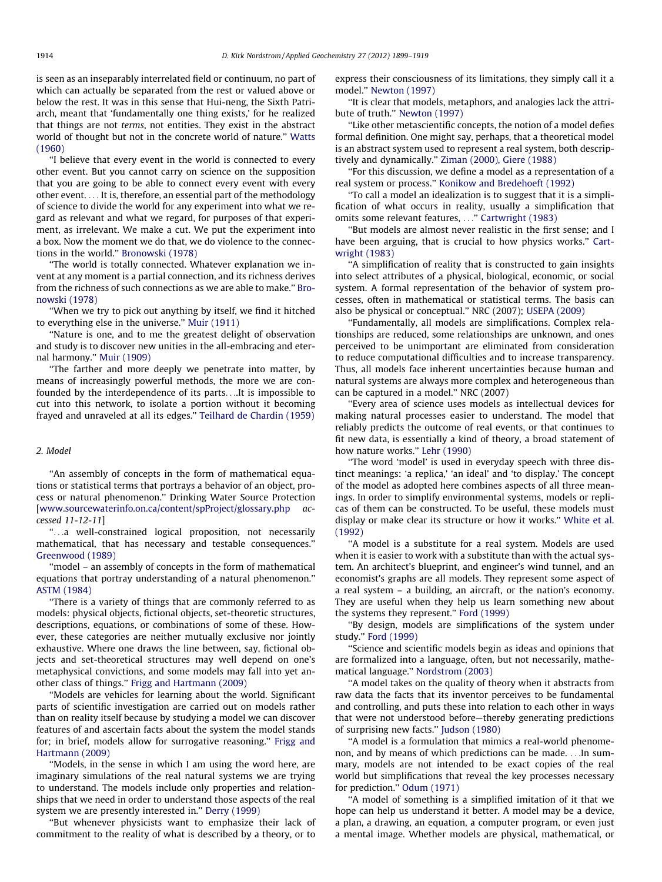is seen as an inseparably interrelated field or continuum, no part of which can actually be separated from the rest or valued above or below the rest. It was in this sense that Hui-neng, the Sixth Patriarch, meant that 'fundamentally one thing exists,' for he realized that things are not terms, not entities. They exist in the abstract world of thought but not in the concrete world of nature.'' [Watts](#page-20-0) [\(1960\)](#page-20-0)

''I believe that every event in the world is connected to every other event. But you cannot carry on science on the supposition that you are going to be able to connect every event with every other event. ... It is, therefore, an essential part of the methodology of science to divide the world for any experiment into what we regard as relevant and what we regard, for purposes of that experiment, as irrelevant. We make a cut. We put the experiment into a box. Now the moment we do that, we do violence to the connections in the world.'' [Bronowski \(1978\)](#page-19-0)

''The world is totally connected. Whatever explanation we invent at any moment is a partial connection, and its richness derives from the richness of such connections as we are able to make.'' [Bro](#page-19-0)[nowski \(1978\)](#page-19-0)

''When we try to pick out anything by itself, we find it hitched to everything else in the universe.'' [Muir \(1911\)](#page-20-0)

''Nature is one, and to me the greatest delight of observation and study is to discover new unities in the all-embracing and eternal harmony.'' [Muir \(1909\)](#page-20-0)

''The farther and more deeply we penetrate into matter, by means of increasingly powerful methods, the more we are confounded by the interdependence of its parts....It is impossible to cut into this network, to isolate a portion without it becoming frayed and unraveled at all its edges.'' [Teilhard de Chardin \(1959\)](#page-20-0)

#### 2. Model

''An assembly of concepts in the form of mathematical equations or statistical terms that portrays a behavior of an object, process or natural phenomenon.'' Drinking Water Source Protection [[www.sourcewaterinfo.on.ca/content/spProject/glossary.php](http://www.sourcewaterinfo.on.ca/content/spProject/glossary.php) accessed 11-12-11]

''...a well-constrained logical proposition, not necessarily mathematical, that has necessary and testable consequences.'' [Greenwood \(1989\)](#page-19-0)

''model – an assembly of concepts in the form of mathematical equations that portray understanding of a natural phenomenon.'' [ASTM \(1984\)](#page-19-0)

''There is a variety of things that are commonly referred to as models: physical objects, fictional objects, set-theoretic structures, descriptions, equations, or combinations of some of these. However, these categories are neither mutually exclusive nor jointly exhaustive. Where one draws the line between, say, fictional objects and set-theoretical structures may well depend on one's metaphysical convictions, and some models may fall into yet another class of things.'' [Frigg and Hartmann \(2009\)](#page-19-0)

''Models are vehicles for learning about the world. Significant parts of scientific investigation are carried out on models rather than on reality itself because by studying a model we can discover features of and ascertain facts about the system the model stands for; in brief, models allow for surrogative reasoning.'' [Frigg and](#page-19-0) [Hartmann \(2009\)](#page-19-0)

''Models, in the sense in which I am using the word here, are imaginary simulations of the real natural systems we are trying to understand. The models include only properties and relationships that we need in order to understand those aspects of the real system we are presently interested in.'' [Derry \(1999\)](#page-19-0)

''But whenever physicists want to emphasize their lack of commitment to the reality of what is described by a theory, or to express their consciousness of its limitations, they simply call it a model.'' [Newton \(1997\)](#page-20-0)

''It is clear that models, metaphors, and analogies lack the attribute of truth.'' [Newton \(1997\)](#page-20-0)

''Like other metascientific concepts, the notion of a model defies formal definition. One might say, perhaps, that a theoretical model is an abstract system used to represent a real system, both descriptively and dynamically.'' [Ziman \(2000\), Giere \(1988\)](#page-20-0)

''For this discussion, we define a model as a representation of a real system or process.'' [Konikow and Bredehoeft \(1992\)](#page-19-0)

''To call a model an idealization is to suggest that it is a simplification of what occurs in reality, usually a simplification that omits some relevant features, ...'' [Cartwright \(1983\)](#page-19-0)

''But models are almost never realistic in the first sense; and I have been arguing, that is crucial to how physics works.'' [Cart](#page-19-0)[wright \(1983\)](#page-19-0)

''A simplification of reality that is constructed to gain insights into select attributes of a physical, biological, economic, or social system. A formal representation of the behavior of system processes, often in mathematical or statistical terms. The basis can also be physical or conceptual.'' NRC (2007); [USEPA \(2009\)](#page-20-0)

''Fundamentally, all models are simplifications. Complex relationships are reduced, some relationships are unknown, and ones perceived to be unimportant are eliminated from consideration to reduce computational difficulties and to increase transparency. Thus, all models face inherent uncertainties because human and natural systems are always more complex and heterogeneous than can be captured in a model.'' NRC (2007)

''Every area of science uses models as intellectual devices for making natural processes easier to understand. The model that reliably predicts the outcome of real events, or that continues to fit new data, is essentially a kind of theory, a broad statement of how nature works.'' [Lehr \(1990\)](#page-19-0)

''The word 'model' is used in everyday speech with three distinct meanings: 'a replica,' 'an ideal' and 'to display.' The concept of the model as adopted here combines aspects of all three meanings. In order to simplify environmental systems, models or replicas of them can be constructed. To be useful, these models must display or make clear its structure or how it works.'' [White et al.](#page-20-0) [\(1992\)](#page-20-0)

''A model is a substitute for a real system. Models are used when it is easier to work with a substitute than with the actual system. An architect's blueprint, and engineer's wind tunnel, and an economist's graphs are all models. They represent some aspect of a real system – a building, an aircraft, or the nation's economy. They are useful when they help us learn something new about the systems they represent.'' [Ford \(1999\)](#page-19-0)

''By design, models are simplifications of the system under study.'' [Ford \(1999\)](#page-19-0)

''Science and scientific models begin as ideas and opinions that are formalized into a language, often, but not necessarily, mathematical language.'' [Nordstrom \(2003\)](#page-20-0)

''A model takes on the quality of theory when it abstracts from raw data the facts that its inventor perceives to be fundamental and controlling, and puts these into relation to each other in ways that were not understood before—thereby generating predictions of surprising new facts.'' [Judson \(1980\)](#page-19-0)

''A model is a formulation that mimics a real-world phenomenon, and by means of which predictions can be made. ...In summary, models are not intended to be exact copies of the real world but simplifications that reveal the key processes necessary for prediction.'' [Odum \(1971\)](#page-20-0)

''A model of something is a simplified imitation of it that we hope can help us understand it better. A model may be a device, a plan, a drawing, an equation, a computer program, or even just a mental image. Whether models are physical, mathematical, or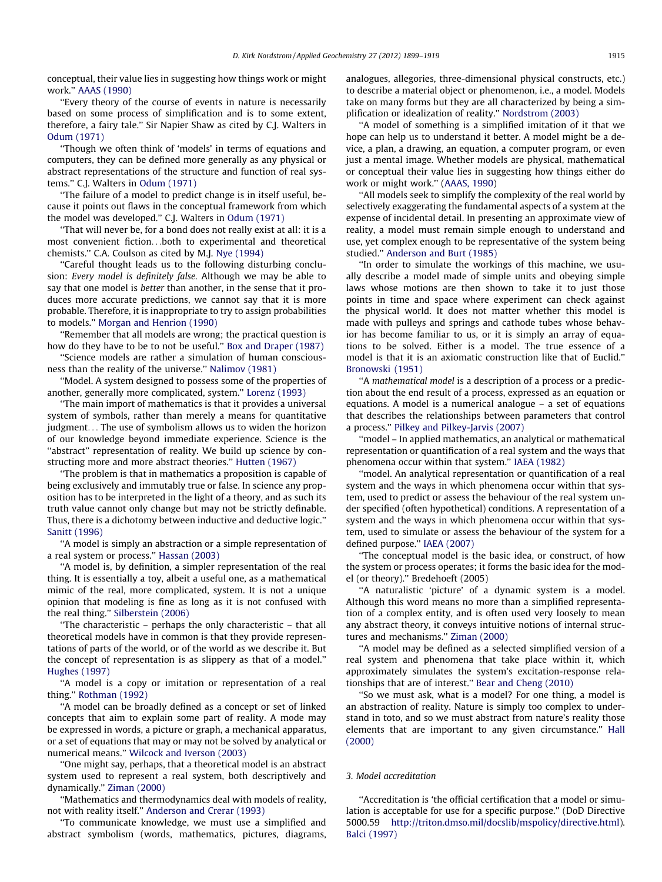conceptual, their value lies in suggesting how things work or might work.'' [AAAS \(1990\)](#page-18-0)

''Every theory of the course of events in nature is necessarily based on some process of simplification and is to some extent, therefore, a fairy tale.'' Sir Napier Shaw as cited by C.J. Walters in [Odum \(1971\)](#page-20-0)

"Though we often think of 'models' in terms of equations and computers, they can be defined more generally as any physical or abstract representations of the structure and function of real systems.'' C.J. Walters in [Odum \(1971\)](#page-20-0)

''The failure of a model to predict change is in itself useful, because it points out flaws in the conceptual framework from which the model was developed.'' C.J. Walters in [Odum \(1971\)](#page-20-0)

''That will never be, for a bond does not really exist at all: it is a most convenient fiction...both to experimental and theoretical chemists.'' C.A. Coulson as cited by M.J. [Nye \(1994\)](#page-20-0)

''Careful thought leads us to the following disturbing conclusion: Every model is definitely false. Although we may be able to say that one model is better than another, in the sense that it produces more accurate predictions, we cannot say that it is more probable. Therefore, it is inappropriate to try to assign probabilities to models.'' [Morgan and Henrion \(1990\)](#page-20-0)

''Remember that all models are wrong; the practical question is how do they have to be to not be useful.'' [Box and Draper \(1987\)](#page-19-0)

''Science models are rather a simulation of human consciousness than the reality of the universe.'' [Nalimov \(1981\)](#page-20-0)

''Model. A system designed to possess some of the properties of another, generally more complicated, system.'' [Lorenz \(1993\)](#page-19-0)

''The main import of mathematics is that it provides a universal system of symbols, rather than merely a means for quantitative judgment... The use of symbolism allows us to widen the horizon of our knowledge beyond immediate experience. Science is the "abstract" representation of reality. We build up science by constructing more and more abstract theories.'' [Hutten \(1967\)](#page-19-0)

''The problem is that in mathematics a proposition is capable of being exclusively and immutably true or false. In science any proposition has to be interpreted in the light of a theory, and as such its truth value cannot only change but may not be strictly definable. Thus, there is a dichotomy between inductive and deductive logic.'' [Sanitt \(1996\)](#page-20-0)

''A model is simply an abstraction or a simple representation of a real system or process.'' [Hassan \(2003\)](#page-19-0)

''A model is, by definition, a simpler representation of the real thing. It is essentially a toy, albeit a useful one, as a mathematical mimic of the real, more complicated, system. It is not a unique opinion that modeling is fine as long as it is not confused with the real thing.'' [Silberstein \(2006\)](#page-20-0)

''The characteristic – perhaps the only characteristic – that all theoretical models have in common is that they provide representations of parts of the world, or of the world as we describe it. But the concept of representation is as slippery as that of a model.'' [Hughes \(1997\)](#page-19-0)

''A model is a copy or imitation or representation of a real thing.'' [Rothman \(1992\)](#page-20-0)

''A model can be broadly defined as a concept or set of linked concepts that aim to explain some part of reality. A mode may be expressed in words, a picture or graph, a mechanical apparatus, or a set of equations that may or may not be solved by analytical or numerical means.'' [Wilcock and Iverson \(2003\)](#page-20-0)

''One might say, perhaps, that a theoretical model is an abstract system used to represent a real system, both descriptively and dynamically.'' [Ziman \(2000\)](#page-20-0)

''Mathematics and thermodynamics deal with models of reality, not with reality itself.'' [Anderson and Crerar \(1993\)](#page-18-0)

''To communicate knowledge, we must use a simplified and abstract symbolism (words, mathematics, pictures, diagrams, analogues, allegories, three-dimensional physical constructs, etc.) to describe a material object or phenomenon, i.e., a model. Models take on many forms but they are all characterized by being a simplification or idealization of reality.'' [Nordstrom \(2003\)](#page-20-0)

''A model of something is a simplified imitation of it that we hope can help us to understand it better. A model might be a device, a plan, a drawing, an equation, a computer program, or even just a mental image. Whether models are physical, mathematical or conceptual their value lies in suggesting how things either do work or might work.'' [\(AAAS, 1990\)](#page-18-0)

''All models seek to simplify the complexity of the real world by selectively exaggerating the fundamental aspects of a system at the expense of incidental detail. In presenting an approximate view of reality, a model must remain simple enough to understand and use, yet complex enough to be representative of the system being studied.'' [Anderson and Burt \(1985\)](#page-18-0)

''In order to simulate the workings of this machine, we usually describe a model made of simple units and obeying simple laws whose motions are then shown to take it to just those points in time and space where experiment can check against the physical world. It does not matter whether this model is made with pulleys and springs and cathode tubes whose behavior has become familiar to us, or it is simply an array of equations to be solved. Either is a model. The true essence of a model is that it is an axiomatic construction like that of Euclid.'' [Bronowski \(1951\)](#page-19-0)

''A mathematical model is a description of a process or a prediction about the end result of a process, expressed as an equation or equations. A model is a numerical analogue – a set of equations that describes the relationships between parameters that control a process.'' [Pilkey and Pilkey-Jarvis \(2007\)](#page-20-0)

''model – In applied mathematics, an analytical or mathematical representation or quantification of a real system and the ways that phenomena occur within that system.'' [IAEA \(1982\)](#page-19-0)

''model. An analytical representation or quantification of a real system and the ways in which phenomena occur within that system, used to predict or assess the behaviour of the real system under specified (often hypothetical) conditions. A representation of a system and the ways in which phenomena occur within that system, used to simulate or assess the behaviour of the system for a defined purpose.'' [IAEA \(2007\)](#page-19-0)

''The conceptual model is the basic idea, or construct, of how the system or process operates; it forms the basic idea for the model (or theory).'' Bredehoeft (2005)

''A naturalistic 'picture' of a dynamic system is a model. Although this word means no more than a simplified representation of a complex entity, and is often used very loosely to mean any abstract theory, it conveys intuitive notions of internal structures and mechanisms.'' [Ziman \(2000\)](#page-20-0)

''A model may be defined as a selected simplified version of a real system and phenomena that take place within it, which approximately simulates the system's excitation-response relationships that are of interest.'' [Bear and Cheng \(2010\)](#page-19-0)

''So we must ask, what is a model? For one thing, a model is an abstraction of reality. Nature is simply too complex to understand in toto, and so we must abstract from nature's reality those elements that are important to any given circumstance.'' [Hall](#page-19-0) [\(2000\)](#page-19-0)

#### 3. Model accreditation

''Accreditation is 'the official certification that a model or simulation is acceptable for use for a specific purpose.'' (DoD Directive 5000.59 [http://triton.dmso.mil/docslib/mspolicy/directive.html\)](http://www.triton.dmso.mil/docslib/mspolicy/directive.html). [Balci \(1997\)](#page-19-0)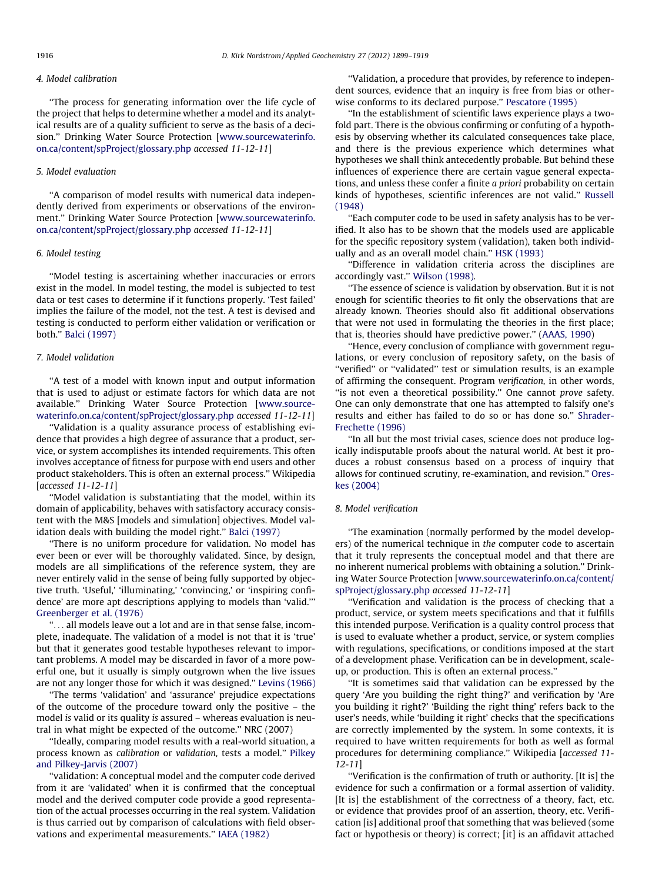#### 4. Model calibration

''The process for generating information over the life cycle of the project that helps to determine whether a model and its analytical results are of a quality sufficient to serve as the basis of a decision.'' Drinking Water Source Protection [[www.sourcewaterinfo.](http://www.sourcewaterinfo.on.ca/content/spProject/glossary.php) [on.ca/content/spProject/glossary.php](http://www.sourcewaterinfo.on.ca/content/spProject/glossary.php) accessed 11-12-11]

#### 5. Model evaluation

''A comparison of model results with numerical data independently derived from experiments or observations of the environment.'' Drinking Water Source Protection [[www.sourcewaterinfo.](http://www.sourcewaterinfo.on.ca/content/spProject/glossary.php) [on.ca/content/spProject/glossary.php](http://www.sourcewaterinfo.on.ca/content/spProject/glossary.php) accessed 11-12-11]

#### 6. Model testing

''Model testing is ascertaining whether inaccuracies or errors exist in the model. In model testing, the model is subjected to test data or test cases to determine if it functions properly. 'Test failed' implies the failure of the model, not the test. A test is devised and testing is conducted to perform either validation or verification or both.'' [Balci \(1997\)](#page-19-0)

# 7. Model validation

''A test of a model with known input and output information that is used to adjust or estimate factors for which data are not available.'' Drinking Water Source Protection [[www.source](http://www.sourcewaterinfo.on.ca/content/spProject/glossary.php)[waterinfo.on.ca/content/spProject/glossary.php](http://www.sourcewaterinfo.on.ca/content/spProject/glossary.php) accessed 11-12-11]

''Validation is a quality assurance process of establishing evidence that provides a high degree of assurance that a product, service, or system accomplishes its intended requirements. This often involves acceptance of fitness for purpose with end users and other product stakeholders. This is often an external process.'' Wikipedia [accessed 11-12-11]

''Model validation is substantiating that the model, within its domain of applicability, behaves with satisfactory accuracy consistent with the M&S [models and simulation] objectives. Model validation deals with building the model right.'' [Balci \(1997\)](#page-19-0)

''There is no uniform procedure for validation. No model has ever been or ever will be thoroughly validated. Since, by design, models are all simplifications of the reference system, they are never entirely valid in the sense of being fully supported by objective truth. 'Useful,' 'illuminating,' 'convincing,' or 'inspiring confidence' are more apt descriptions applying to models than 'valid.''' [Greenberger et al. \(1976\)](#page-19-0)

''... all models leave out a lot and are in that sense false, incomplete, inadequate. The validation of a model is not that it is 'true' but that it generates good testable hypotheses relevant to important problems. A model may be discarded in favor of a more powerful one, but it usually is simply outgrown when the live issues are not any longer those for which it was designed.'' [Levins \(1966\)](#page-19-0)

''The terms 'validation' and 'assurance' prejudice expectations of the outcome of the procedure toward only the positive – the model is valid or its quality is assured – whereas evaluation is neutral in what might be expected of the outcome.'' NRC (2007)

''Ideally, comparing model results with a real-world situation, a process known as calibration or validation, tests a model.'' [Pilkey](#page-20-0) [and Pilkey-Jarvis \(2007\)](#page-20-0)

''validation: A conceptual model and the computer code derived from it are 'validated' when it is confirmed that the conceptual model and the derived computer code provide a good representation of the actual processes occurring in the real system. Validation is thus carried out by comparison of calculations with field observations and experimental measurements.'' [IAEA \(1982\)](#page-19-0)

''Validation, a procedure that provides, by reference to independent sources, evidence that an inquiry is free from bias or otherwise conforms to its declared purpose.'' [Pescatore \(1995\)](#page-20-0)

''In the establishment of scientific laws experience plays a twofold part. There is the obvious confirming or confuting of a hypothesis by observing whether its calculated consequences take place, and there is the previous experience which determines what hypotheses we shall think antecedently probable. But behind these influences of experience there are certain vague general expectations, and unless these confer a finite a priori probability on certain kinds of hypotheses, scientific inferences are not valid.'' [Russell](#page-20-0) [\(1948\)](#page-20-0)

''Each computer code to be used in safety analysis has to be verified. It also has to be shown that the models used are applicable for the specific repository system (validation), taken both individually and as an overall model chain.'' [HSK \(1993\)](#page-19-0)

''Difference in validation criteria across the disciplines are accordingly vast.'' [Wilson \(1998\)](#page-20-0).

''The essence of science is validation by observation. But it is not enough for scientific theories to fit only the observations that are already known. Theories should also fit additional observations that were not used in formulating the theories in the first place; that is, theories should have predictive power.'' [\(AAAS, 1990\)](#page-18-0)

''Hence, every conclusion of compliance with government regulations, or every conclusion of repository safety, on the basis of ''verified'' or ''validated'' test or simulation results, is an example of affirming the consequent. Program verification, in other words, "is not even a theoretical possibility." One cannot prove safety. One can only demonstrate that one has attempted to falsify one's results and either has failed to do so or has done so.'' [Shrader-](#page-20-0)[Frechette \(1996\)](#page-20-0)

''In all but the most trivial cases, science does not produce logically indisputable proofs about the natural world. At best it produces a robust consensus based on a process of inquiry that allows for continued scrutiny, re-examination, and revision.'' [Ores](#page-20-0)[kes \(2004\)](#page-20-0)

#### 8. Model verification

''The examination (normally performed by the model developers) of the numerical technique in the computer code to ascertain that it truly represents the conceptual model and that there are no inherent numerical problems with obtaining a solution.'' Drinking Water Source Protection [\[www.sourcewaterinfo.on.ca/content/](http://www.sourcewaterinfo.on.ca/content/spProject/glossary.php) [spProject/glossary.php](http://www.sourcewaterinfo.on.ca/content/spProject/glossary.php) accessed 11-12-11]

''Verification and validation is the process of checking that a product, service, or system meets specifications and that it fulfills this intended purpose. Verification is a quality control process that is used to evaluate whether a product, service, or system complies with regulations, specifications, or conditions imposed at the start of a development phase. Verification can be in development, scaleup, or production. This is often an external process.''

''It is sometimes said that validation can be expressed by the query 'Are you building the right thing?' and verification by 'Are you building it right?' 'Building the right thing' refers back to the user's needs, while 'building it right' checks that the specifications are correctly implemented by the system. In some contexts, it is required to have written requirements for both as well as formal procedures for determining compliance.'' Wikipedia [accessed 11- 12-11]

''Verification is the confirmation of truth or authority. [It is] the evidence for such a confirmation or a formal assertion of validity. [It is] the establishment of the correctness of a theory, fact, etc. or evidence that provides proof of an assertion, theory, etc. Verification [is] additional proof that something that was believed (some fact or hypothesis or theory) is correct; [it] is an affidavit attached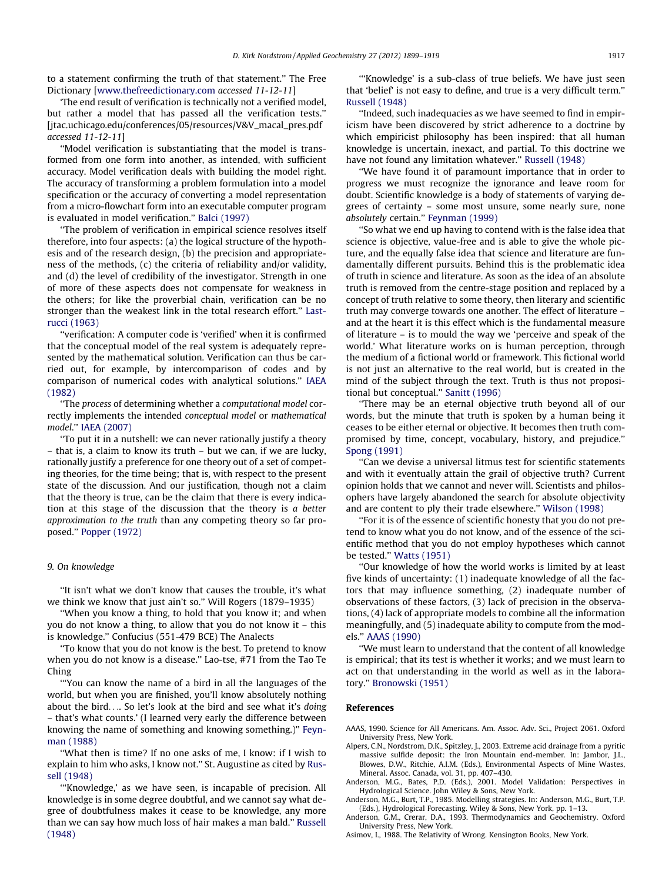<span id="page-18-0"></span>to a statement confirming the truth of that statement.'' The Free Dictionary [[www.thefreedictionary.com](http://www.thefreedictionary.com) accessed 11-12-11]

'The end result of verification is technically not a verified model, but rather a model that has passed all the verification tests.'' [jtac.uchicago.edu/conferences/05/resources/V&V\_macal\_pres.pdf accessed 11-12-11]

''Model verification is substantiating that the model is transformed from one form into another, as intended, with sufficient accuracy. Model verification deals with building the model right. The accuracy of transforming a problem formulation into a model specification or the accuracy of converting a model representation from a micro-flowchart form into an executable computer program is evaluated in model verification.'' [Balci \(1997\)](#page-19-0)

''The problem of verification in empirical science resolves itself therefore, into four aspects: (a) the logical structure of the hypothesis and of the research design, (b) the precision and appropriateness of the methods, (c) the criteria of reliability and/or validity, and (d) the level of credibility of the investigator. Strength in one of more of these aspects does not compensate for weakness in the others; for like the proverbial chain, verification can be no stronger than the weakest link in the total research effort.'' [Last](#page-19-0)[rucci \(1963\)](#page-19-0)

''verification: A computer code is 'verified' when it is confirmed that the conceptual model of the real system is adequately represented by the mathematical solution. Verification can thus be carried out, for example, by intercomparison of codes and by comparison of numerical codes with analytical solutions.'' [IAEA](#page-19-0) [\(1982\)](#page-19-0)

''The process of determining whether a computational model correctly implements the intended conceptual model or mathematical model.'' [IAEA \(2007\)](#page-19-0)

''To put it in a nutshell: we can never rationally justify a theory – that is, a claim to know its truth – but we can, if we are lucky, rationally justify a preference for one theory out of a set of competing theories, for the time being; that is, with respect to the present state of the discussion. And our justification, though not a claim that the theory is true, can be the claim that there is every indication at this stage of the discussion that the theory is a better approximation to the truth than any competing theory so far proposed.'' [Popper \(1972\)](#page-20-0)

### 9. On knowledge

''It isn't what we don't know that causes the trouble, it's what we think we know that just ain't so.'' Will Rogers (1879–1935)

''When you know a thing, to hold that you know it; and when you do not know a thing, to allow that you do not know it – this is knowledge.'' Confucius (551-479 BCE) The Analects

''To know that you do not know is the best. To pretend to know when you do not know is a disease.'' Lao-tse, #71 from the Tao Te Ching

'''You can know the name of a bird in all the languages of the world, but when you are finished, you'll know absolutely nothing about the bird.... So let's look at the bird and see what it's doing – that's what counts.' (I learned very early the difference between knowing the name of something and knowing something.)'' [Feyn](#page-19-0)[man \(1988\)](#page-19-0)

''What then is time? If no one asks of me, I know: if I wish to explain to him who asks, I know not.'' St. Augustine as cited by [Rus](#page-20-0)[sell \(1948\)](#page-20-0)

'''Knowledge,' as we have seen, is incapable of precision. All knowledge is in some degree doubtful, and we cannot say what degree of doubtfulness makes it cease to be knowledge, any more than we can say how much loss of hair makes a man bald.'' [Russell](#page-20-0) [\(1948\)](#page-20-0)

'''Knowledge' is a sub-class of true beliefs. We have just seen that 'belief' is not easy to define, and true is a very difficult term.'' [Russell \(1948\)](#page-20-0)

''Indeed, such inadequacies as we have seemed to find in empiricism have been discovered by strict adherence to a doctrine by which empiricist philosophy has been inspired: that all human knowledge is uncertain, inexact, and partial. To this doctrine we have not found any limitation whatever.'' [Russell \(1948\)](#page-20-0)

''We have found it of paramount importance that in order to progress we must recognize the ignorance and leave room for doubt. Scientific knowledge is a body of statements of varying degrees of certainty – some most unsure, some nearly sure, none absolutely certain.'' [Feynman \(1999\)](#page-19-0)

''So what we end up having to contend with is the false idea that science is objective, value-free and is able to give the whole picture, and the equally false idea that science and literature are fundamentally different pursuits. Behind this is the problematic idea of truth in science and literature. As soon as the idea of an absolute truth is removed from the centre-stage position and replaced by a concept of truth relative to some theory, then literary and scientific truth may converge towards one another. The effect of literature – and at the heart it is this effect which is the fundamental measure of literature – is to mould the way we 'perceive and speak of the world.' What literature works on is human perception, through the medium of a fictional world or framework. This fictional world is not just an alternative to the real world, but is created in the mind of the subject through the text. Truth is thus not propositional but conceptual.'' [Sanitt \(1996\)](#page-20-0)

''There may be an eternal objective truth beyond all of our words, but the minute that truth is spoken by a human being it ceases to be either eternal or objective. It becomes then truth compromised by time, concept, vocabulary, history, and prejudice.'' [Spong \(1991\)](#page-20-0)

''Can we devise a universal litmus test for scientific statements and with it eventually attain the grail of objective truth? Current opinion holds that we cannot and never will. Scientists and philosophers have largely abandoned the search for absolute objectivity and are content to ply their trade elsewhere.'' [Wilson \(1998\)](#page-20-0)

''For it is of the essence of scientific honesty that you do not pretend to know what you do not know, and of the essence of the scientific method that you do not employ hypotheses which cannot be tested.'' [Watts \(1951\)](#page-20-0)

''Our knowledge of how the world works is limited by at least five kinds of uncertainty: (1) inadequate knowledge of all the factors that may influence something, (2) inadequate number of observations of these factors, (3) lack of precision in the observations, (4) lack of appropriate models to combine all the information meaningfully, and (5) inadequate ability to compute from the models.'' AAAS (1990)

''We must learn to understand that the content of all knowledge is empirical; that its test is whether it works; and we must learn to act on that understanding in the world as well as in the laboratory.'' [Bronowski \(1951\)](#page-19-0)

#### References

AAAS, 1990. Science for All Americans. Am. Assoc. Adv. Sci., Project 2061. Oxford University Press, New York.

- Alpers, C.N., Nordstrom, D.K., Spitzley, J., 2003. Extreme acid drainage from a pyritic massive sulfide deposit: the Iron Mountain end-member. In: Jambor, J.L., Blowes, D.W., Ritchie, A.I.M. (Eds.), Environmental Aspects of Mine Wastes, Mineral. Assoc. Canada, vol. 31, pp. 407–430.
- Anderson, M.G., Bates, P.D. (Eds.), 2001. Model Validation: Perspectives in Hydrological Science. John Wiley & Sons, New York.
- Anderson, M.G., Burt, T.P., 1985. Modelling strategies. In: Anderson, M.G., Burt, T.P. (Eds.), Hydrological Forecasting. Wiley & Sons, New York, pp. 1–13.
- Anderson, G.M., Crerar, D.A., 1993. Thermodynamics and Geochemistry. Oxford University Press, New York.
- Asimov, I., 1988. The Relativity of Wrong. Kensington Books, New York.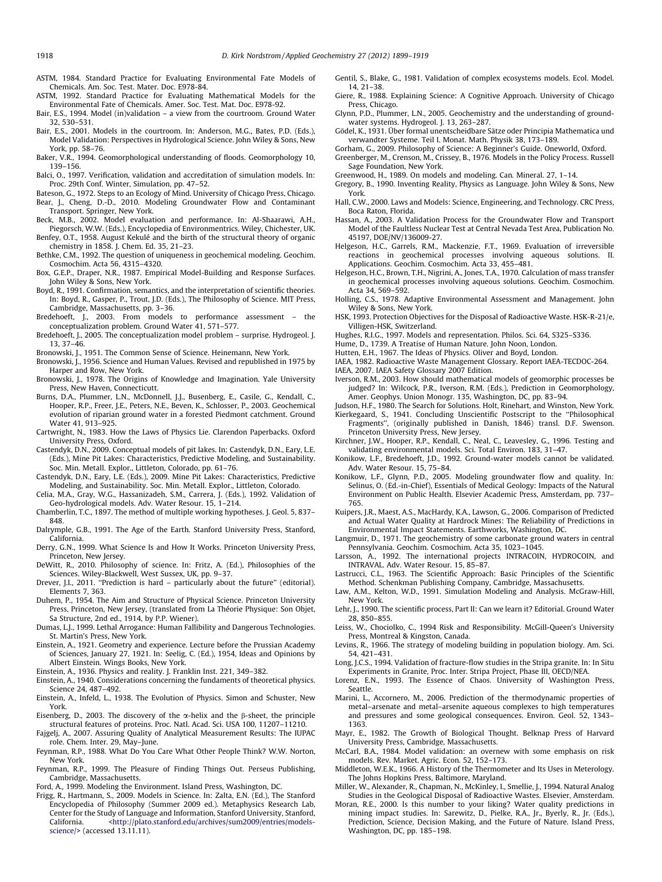- <span id="page-19-0"></span>ASTM, 1984. Standard Practice for Evaluating Environmental Fate Models of Chemicals. Am. Soc. Test. Mater. Doc. E978-84.
- ASTM, 1992. Standard Practice for Evaluating Mathematical Models for the Environmental Fate of Chemicals. Amer. Soc. Test. Mat. Doc. E978-92.
- Bair, E.S., 1994. Model (in)validation a view from the courtroom. Ground Water 32, 530–531.
- Bair, E.S., 2001. Models in the courtroom. In: Anderson, M.G., Bates, P.D. (Eds.), Model Validation: Perspectives in Hydrological Science. John Wiley & Sons, New York, pp. 58–76.
- Baker, V.R., 1994. Geomorphological understanding of floods. Geomorphology 10, 139–156.
- Balci, O., 1997. Verification, validation and accreditation of simulation models. In: Proc. 29th Conf. Winter, Simulation, pp. 47–52.
- Bateson, G., 1972. Steps to an Ecology of Mind. University of Chicago Press, Chicago.
- Bear, J., Cheng, D.-D., 2010. Modeling Groundwater Flow and Contaminant Transport. Springer, New York.
- Beck, M.B., 2002. Model evaluation and performance. In: Al-Shaarawi, A.H., Piegorsch, W.W. (Eds.), Encyclopedia of Environmentrics. Wiley, Chichester, UK. Benfey, O.T., 1958. August Kekulé and the birth of the structural theory of organic
- chemistry in 1858. J. Chem. Ed. 35, 21–23. Bethke, C.M., 1992. The question of uniqueness in geochemical modeling. Geochim.
- Cosmochim. Acta 56, 4315–4320. Box, G.E.P., Draper, N.R., 1987. Empirical Model-Building and Response Surfaces.
- John Wiley & Sons, New York.
- Boyd, R., 1991. Confirmation, semantics, and the interpretation of scientific theories. In: Boyd, R., Gasper, P., Trout, J.D. (Eds.), The Philosophy of Science. MIT Press, Cambridge, Massachusetts, pp. 3–36.
- Bredehoeft, J., 2003. From models to performance assessment the conceptualization problem. Ground Water 41, 571–577.
- Bredehoeft, J., 2005. The conceptualization model problem surprise. Hydrogeol. J. 13, 37–46.
- Bronowski, J., 1951. The Common Sense of Science. Heinemann, New York.
- Bronowski, J., 1956. Science and Human Values. Revised and republished in 1975 by
- Harper and Row, New York. Bronowski, J., 1978. The Origins of Knowledge and Imagination. Yale University
- Press, New Haven, Connecticutt. Burns, D.A., Plummer, L.N., McDonnell, J.J., Busenberg, E., Casile, G., Kendall, C., Hooper, R.P., Freer, J.E., Peters, N.E., Beven, K., Schlosser, P., 2003. Geochemical evolution of riparian ground water in a forested Piedmont catchment. Ground
- Water 41, 913–925. Cartwright, N., 1983. How the Laws of Physics Lie. Clarendon Paperbacks. Oxford University Press, Oxford.
- Castendyk, D.N., 2009. Conceptual models of pit lakes. In: Castendyk, D.N., Eary, L.E. (Eds.), Mine Pit Lakes: Characteristics, Predictive Modeling, and Sustainability. Soc. Min. Metall. Explor., Littleton, Colorado, pp. 61–76.
- Castendyk, D.N., Eary, L.E. (Eds.), 2009. Mine Pit Lakes: Characteristics, Predictive Modeling, and Sustainability. Soc. Min. Metall. Explor., Littleton, Colorado.
- Celia, M.A., Gray, W.G., Hassanizadeh, S.M., Carrera, J. (Eds.), 1992. Validation of Geo-hydrological models. Adv. Water Resour. 15, 1–214.
- Chamberlin, T.C., 1897. The method of multiple working hypotheses. J. Geol. 5, 837– 848.
- Dalrymple, G.B., 1991. The Age of the Earth. Stanford University Press, Stanford, California.
- Derry, G.N., 1999. What Science Is and How It Works. Princeton University Press, Princeton, New Jersey.
- DeWitt, R., 2010. Philosophy of science. In: Fritz, A. (Ed.), Philosophies of the Sciences. Wiley-Blackwell, West Sussex, UK, pp. 9–37.
- Drever, J.I., 2011. ''Prediction is hard particularly about the future'' (editorial). Elements 7, 363.
- Duhem, P., 1954. The Aim and Structure of Physical Science. Princeton University Press, Princeton, New Jersey, (translated from La Théorie Physique: Son Objet, Sa Structure, 2nd ed., 1914, by P.P. Wiener).
- Dumas, L.J., 1999. Lethal Arrogance: Human Fallibility and Dangerous Technologies. St. Martin's Press, New York.
- Einstein, A., 1921. Geometry and experience. Lecture before the Prussian Academy of Sciences, January 27, 1921. In: Seelig, C. (Ed.), 1954, Ideas and Opinions by Albert Einstein. Wings Books, New York.
- Einstein, A., 1936. Physics and reality. J. Franklin Inst. 221, 349–382.
- Einstein, A., 1940. Considerations concerning the fundaments of theoretical physics. Science 24, 487–492.
- Einstein, A., Infeld, L., 1938. The Evolution of Physics. Simon and Schuster, New York.
- Eisenberg, D., 2003. The discovery of the  $\alpha$ -helix and the  $\beta$ -sheet, the principle structural features of proteins. Proc. Natl. Acad. Sci. USA 100, 11207–11210.
- Fajgelj, A., 2007. Assuring Quality of Analytical Measurement Results: The IUPAC role. Chem. Inter. 29, May–June.
- Feynman, R.P., 1988. What Do You Care What Other People Think? W.W. Norton, New York.
- Feynman, R.P., 1999. The Pleasure of Finding Things Out. Perseus Publishing, Cambridge, Massachusetts.
- Ford, A., 1999. Modeling the Environment. Island Press, Washington, DC.
- Frigg, R., Hartmann, S., 2009. Models in Science. In: Zalta, E.N. (Ed.), The Stanford Encyclopedia of Philosophy (Summer 2009 ed.). Metaphysics Research Lab, Center for the Study of Language and Information, Stanford University, Stanford, California. [<http://plato.stanford.edu/archives/sum2009/entries/models](http://plato.stanford.edu/archives/sum2009/entries/models-science/)[science/>](http://plato.stanford.edu/archives/sum2009/entries/models-science/) (accessed 13.11.11).
- Gentil, S., Blake, G., 1981. Validation of complex ecosystems models. Ecol. Model. 14, 21–38.
- Giere, R., 1988. Explaining Science: A Cognitive Approach. University of Chicago Press, Chicago.
- Glynn, P.D., Plummer, L.N., 2005. Geochemistry and the understanding of groundwater systems. Hydrogeol. J. 13, 263–287.
- Gödel, K., 1931. Über formal unentscheidbare Sätze oder Principia Mathematica und verwandter Systeme. Teil I. Monat. Math. Physik 38, 173–189.
- Gorham, G., 2009. Philosophy of Science: A Beginner's Guide. Oneworld, Oxford.
- Greenberger, M., Crenson, M., Crissey, B., 1976. Models in the Policy Process. Russell Sage Foundation, New York.
- Greenwood, H., 1989. On models and modeling. Can. Mineral. 27, 1–14.
- Gregory, B., 1990. Inventing Reality, Physics as Language. John Wiley & Sons, New York.
- Hall, C.W., 2000. Laws and Models: Science, Engineering, and Technology. CRC Press, Boca Raton, Florida.
- Hassan, A., 2003. A Validation Process for the Groundwater Flow and Transport Model of the Faultless Nuclear Test at Central Nevada Test Area, Publication No. 45197, DOE/NV/136009-27.
- Helgeson, H.C., Garrels, R.M., Mackenzie, F.T., 1969. Evaluation of irreversible reactions in geochemical processes involving aqueous solutions. II. Applications. Geochim. Cosmochim. Acta 33, 455–481.
- Helgeson, H.C., Brown, T.H., Nigrini, A., Jones, T.A., 1970. Calculation of mass transfer in geochemical processes involving aqueous solutions. Geochim. Cosmochim. Acta 34, 569–592.
- Holling, C.S., 1978. Adaptive Environmental Assessment and Management. John Wiley & Sons, New York.
- HSK, 1993. Protection Objectives for the Disposal of Radioactive Waste. HSK-R-21/e, Villigen-HSK, Switzerland.
- Hughes, R.I.G., 1997. Models and representation. Philos. Sci. 64, S325–S336.
- Hume, D., 1739. A Treatise of Human Nature. John Noon, London.
- Hutten, E.H., 1967. The Ideas of Physics. Oliver and Boyd, London.
- IAEA, 1982. Radioactive Waste Management Glossary. Report IAEA-TECDOC-264.
- IAEA, 2007. IAEA Safety Glossary 2007 Edition.
- Iverson, R.M., 2003. How should mathematical models of geomorphic processes be judged? In: Wilcock, P.R., Iverson, R.M. (Eds.), Prediction in Geomorphology, Amer. Geophys. Union Monogr. 135, Washington, DC, pp. 83–94.
- Judson, H.F., 1980. The Search for Solutions. Holt, Rinehart, and Winston, New York.
- Kierkegaard, S., 1941. Concluding Unscientific Postscript to the ''Philosophical Fragments'', (originally published in Danish, 1846) transl. D.F. Swenson. Princeton University Press, New Jersey.
- Kirchner, J.W., Hooper, R.P., Kendall, C., Neal, C., Leavesley, G., 1996. Testing and validating environmental models. Sci. Total Environ. 183, 31–47.
- Konikow, L.F., Bredehoeft, J.D., 1992. Ground-water models cannot be validated. Adv. Water Resour. 15, 75–84.
- Konikow, L.F., Glynn, P.D., 2005. Modeling groundwater flow and quality. In: Selinus, O. (Ed.-in-Chief), Essentials of Medical Geology: Impacts of the Natural Environment on Public Health. Elsevier Academic Press, Amsterdam, pp. 737– 765.
- Kuipers, J.R., Maest, A.S., MacHardy, K.A., Lawson, G., 2006. Comparison of Predicted and Actual Water Quality at Hardrock Mines: The Reliability of Predictions in Environmental Impact Statements. Earthworks, Washington, DC.
- Langmuir, D., 1971. The geochemistry of some carbonate ground waters in central Pennsylvania. Geochim. Cosmochim. Acta 35, 1023–1045.
- Larsson, A., 1992. The international projects INTRACOIN, HYDROCOIN, and INTRAVAL. Adv. Water Resour. 15, 85–87.
- Lastrucci, C.L., 1963. The Scientific Approach: Basic Principles of the Scientific Method. Schenkman Publishing Company, Cambridge, Massachusetts.
- Law, A.M., Kelton, W.D., 1991. Simulation Modeling and Analysis. McGraw-Hill, New York.
- Lehr, J., 1990. The scientific process, Part II: Can we learn it? Editorial. Ground Water 28, 850–855.
- Leiss, W., Chociolko, C., 1994 Risk and Responsibility. McGill-Queen's University Press, Montreal & Kingston, Canada.
- Levins, R., 1966. The strategy of modeling building in population biology. Am. Sci. 54, 421–431.
- Long, J.C.S., 1994. Validation of fracture-flow studies in the Stripa granite. In: In Situ Experiments in Granite, Proc. Inter. Stripa Project, Phase III, OECD/NEA.
- Lorenz, E.N., 1993. The Essence of Chaos. University of Washington Press, Seattle.
- Marini, L., Accornero, M., 2006. Prediction of the thermodynamic properties of metal–arsenate and metal–arsenite aqueous complexes to high temperatures and pressures and some geological consequences. Environ. Geol. 52, 1343– 1363.
- Mayr, E., 1982. The Growth of Biological Thought. Belknap Press of Harvard University Press, Cambridge, Massachusetts.
- McCarl, B.A., 1984. Model validation: an overnew with some emphasis on risk models. Rev. Market. Agric. Econ. 52, 152–173.
- Middleton, W.E.K., 1966. A History of the Thermometer and Its Uses in Meterology. The Johns Hopkins Press, Baltimore, Maryland.
- Miller, W., Alexander, R., Chapman, N., McKinley, I., Smellie, J., 1994. Natural Analog Studies in the Geological Disposal of Radioactive Wastes. Elsevier, Amsterdam.
- Moran, R.E., 2000. Is this number to your liking? Water quality predictions in mining impact studies. In: Sarewitz, D., Pielke, R.A., Jr., Byerly, R., Jr. (Eds.), Prediction, Science, Decision Making, and the Future of Nature. Island Press, Washington, DC, pp. 185–198.